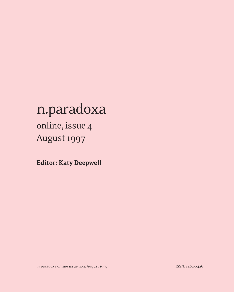# n.paradoxa online, issue 4 August 1997

Editor: Katy Deepwell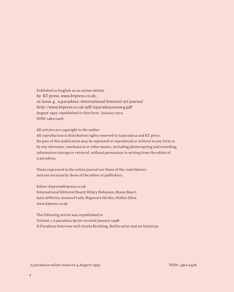Published in English as an online edition by KT press, www.ktpress.co.uk, as issue 4, n.paradoxa: international feminist art journal http://www.ktpress.co.uk/pdf/nparadoxaissue4.pdf August 1997, republished in this form: January 2010 ISSN: 1462-0426

All articles are copyright to the author

All reproduction & distribution rights reserved to n.paradoxa and KT press. No part of this publication may be reprinted or reproduced or utilized in any form or by any electronic, mechanical or other means, including photocopying and recording, information storage or retrieval, without permission in writing from the editor of n.paradoxa.

Views expressed in the online journal are those of the contributors and not necessarily those of the editor or publishers.

Editor: ktpress@ktpress.co.uk International Editorial Board: Hilary Robinson, Renee Baert, Janis Jefferies, Joanna Frueh, Hagiwara Hiroko, Olabisi Silva. www.ktpress.co.uk

The following article was republished in Volume 1, n.paradoxa (print version) January 1998: N.Paradoxa Interview with Gisela Breitling, Berlin artist and art historian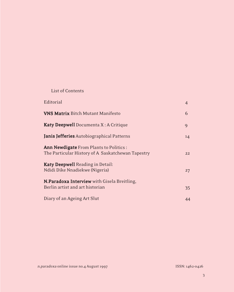|  |  | List of Contents |
|--|--|------------------|
|--|--|------------------|

| Editorial                                                                                          | $\overline{4}$ |
|----------------------------------------------------------------------------------------------------|----------------|
| <b>VNS Matrix</b> Bitch Mutant Manifesto                                                           | 6              |
| <b>Katy Deepwell</b> Documenta X: A Critique                                                       | 9              |
| <b>Janis Jefferies</b> Autobiographical Patterns                                                   | 14             |
| <b>Ann Newdigate</b> From Plants to Politics:<br>The Particular History of A Saskatchewan Tapestry | 22             |
| Katy Deepwell Reading in Detail:<br>Ndidi Dike Nnadiekwe (Nigeria)                                 | 27             |
| N.Paradoxa Interview with Gisela Breitling,<br>Berlin artist and art historian                     | 35             |
| Diary of an Ageing Art Slut                                                                        | 44             |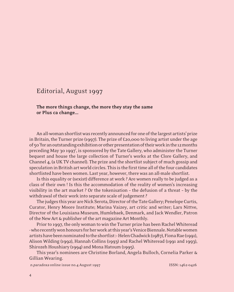### Editorial, August 1997

#### The more things change, the more they stay the same or Plus ca change...

An all-woman shortlist was recently announced for one of the largest artists' prize in Britain, the Turner prize (1997). The prize of £20,000 to living artist under the age of 50 'for an outstanding exhibition or other presentation of their work in the 12 months preceding May 30 1997', is sponsored by the Tate Gallery, who administer the Turner bequest and house the large collection of Turner's works at the Clore Gallery, and Channel 4, (a UK TV channel). The prize and the shortlist subject of much gossip and speculation in British art world circles. This is the first time all of the four candidates shortlisted have been women. Last year, however, there was an all-male shortlist.

Is this equality or (sexist) difference at work ? Are women really to be judged as a class of their own ! Is this the accommodation of the reality of women's increasing visibility in the art market ? Or the tokenisation – the defusion of a threat – by the withdrawal of their work into separate scale of judgement ?

The judges this year are Nick Serota, Director of the Tate Gallery; Penelope Curtis, Curator, Henry Moore Institute; Marina Vaizey, art critic and writer; Lars Nittve, Director of the Louisiana Museum, Humlebaek, Denmark, and Jack Wendler, Patron of the New Art & publisher of the art magazine Art Monthly.

Prior to 1997, the only woman to win the Turner prize has been Rachel Whiteread - who recently won honours for her work at this year's Venice Biennale. Notable women artists have been nominated to the shortlist :- Helen Chadwick (1987), Fiona Rae (1991), Alison Wilding (1992), Hannah Collins (1993) and Rachel Whiteread (1991 and 1993), Shirozeh Houshiary (1994) and Mona Hatoum (1995).

This year's nominees are Christine Borland, Angela Bulloch, Cornelia Parker & Gillian Wearing.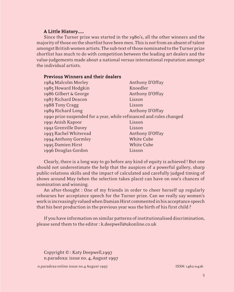#### A Little History.....

Since the Turner prize was started in the 1980's, all the other winners and the majority of those on the shortlist have been men. This is not from an absent of talent amongst British women artists. The sub-text of those nominated to the Turner prize shortlist has much to do with competition between the leading art dealers and the value-judgements made about a national versus international reputation amongst the individual artists.

| <b>Previous Winners and their dealers</b>                           |                 |
|---------------------------------------------------------------------|-----------------|
| 1984 Malcolm Morley                                                 | Anthony D'Offay |
| 1985 Howard Hodgkin                                                 | Knoedler        |
| 1986 Gilbert & George                                               | Anthony D'Offay |
| 1987 Richard Deacon                                                 | Lisson          |
| 1988 Tony Cragg                                                     | Lisson          |
| 1989 Richard Long                                                   | Anthony D'Offay |
| 1990 prize suspended for a year, while refinanced and rules changed |                 |
| 1991 Anish Kapoor                                                   | Lisson          |
| 1992 Grenville Davey                                                | Lisson          |
| 1993 Rachel Whiteread                                               | Anthony D'Offay |
| 1994 Anthony Gormley                                                | White Cube      |
| 1995 Damien Hirst                                                   | White Cube      |
| 1996 Douglas Gordon                                                 | Lisson          |
|                                                                     |                 |

Clearly, there is a long way to go before any kind of equity is achieved ! But one should not underestimate the help that the auspices of a powerful gallery, sharp public-relations skills and the impact of calculated and carefully judged timing of shows around May (when the selection takes place) can have on one's chances of nomination and winning.

An after-thought : One of my friends in order to cheer herself up regularly rehearses her acceptance speech for the Turner prize. Can we really say women's work is increasingly valued when Damian Hirst commented in his acceptance speech that his best production in the previous year was the birth of his first child ?

If you have information on similar patterns of institutionalised discrimination, please send them to the editor : k.deepwell@ukonline.co.uk

Copyright © : Katy Deepwell,1997 n.paradoxa: issue no. 4, August 1997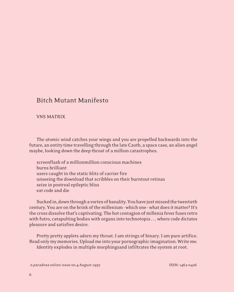### Bitch Mutant Manifesto

#### VNS MATRIX

The atomic wind catches your wings and you are propelled backwards into the future, an entity time travelling through the late C20th, a space case, an alien angel maybe, looking down the deep throat of a million catastrophes.

screenflash of a millionmillion conscious machines burns brilliant users caught in the static blitz of carrier fire unseeing the download that scribbles on their burntout retinas seize in postreal epileptic bliss eat code and die

Sucked in, down through a vortex of banality. You have just missed the twentieth century. You are on the brink of the millenium - which one - what does it matter? It's the cross dissolve that's captivating. The hot contagion of millenia fever fuses retro with futro, catapulting bodies with organs into technotopia . . . where code dictates pleasure and satisfies desire.

Pretty pretty applets adorn my throat. I am strings of binary. I am pure artifice. Read only my memories. Upload me into your pornographic imagination. Write me. Identity explodes in multiple morphingsand infiltrates the system at root.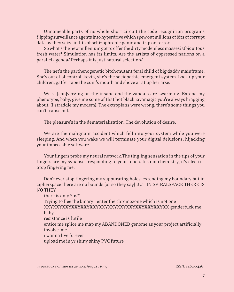Unnameable parts of no whole short circuit the code recognition programs flipping surveillance agents into hyperdrive which spew out millions of bits of corrupt data as they seize in fits of schizophrenic panic and trip on terror.

So what's the new millenium got to offer the dirty modemless masses? Ubiquitous fresh water? Simulation has its limits. Are the artists of oppressed nations on a parallel agenda? Perhaps it is just natural selection?

The net's the parthenogenetic bitch-mutant feral child of big daddy mainframe. She's out of of control, kevin, she's the sociopathic emergent system. Lock up your children, gaffer tape the cunt's mouth and shove a rat up her arse.

We're [con]verging on the insane and the vandals are swarming. Extend my phenotype, baby, give me some of that hot black javamagic you're always bragging about. (I straddle my modem). The extropians were wrong, there's some things you can't transcend.

The pleasure's in the dematerialisation. The devolution of desire.

We are the malignant accident which fell into your system while you were sleeping. And when you wake we will terminate your digital delusions, hijacking your impeccable software.

Your fingers probe my neural network.The tingling sensation in the tips of your fingers are my synapses responding to your touch. It's not chemistry, it's electric. Stop fingering me.

Don't ever stop fingering my suppurating holes, extending my boundary but in cipherspace there are no bounds [or so they say] BUT IN SPIRALSPACE THERE IS NO THEY

there is only \*us\* Trying to flee the binary I enter the chromozone which is not one XXYXXYXXYXXYXXYXXYXXYXXYXXYXXYXXYXXYXXYXX genderfuck me baby resistance is futile entice me splice me map my ABANDONED genome as your project artificially involve me i wanna live forever upload me in yr shiny shiny PVC future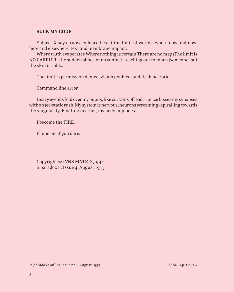#### SUCK MY CODE

Subject X says transcendence lies at the limit of worlds, where now and now, here and elsewhere, text and membrane impact.

Where truth evaporates Where nothing is certain There are no mapsThe limit is NO CARRIER , the sudden shock of no contact, reaching out to touch [someone] but the skin is cold...

The limit is permission denied, vision doubled, and flesh necrotic.

Command line error

Heavy eyelids fold over my pupils, like curtains of lead. Hot ice kisses my synapses with an (ec)static rush. My system is nervous, neurons screaming - spiralling towards the singularity. Floating in ether, my body implodes.

I become the FIRE.

Flame me if you dare.

Copyright © : VNS MATRIX,1994 n.paradoxa : Issue 4, August 1997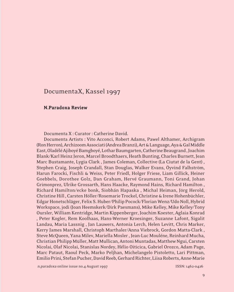### DocumentaX, Kassel 1997

#### N.Paradoxa Review

Documenta X : Curator : Catherine David.

Documenta Artists : Vito Acconci, Robert Adams, Pawel Althamer, Archigram (Ron Herron), Archizoom Associati (Andrea Branzi), Art & Language, Aya & Gal Middle East, Oladélé Ajiboyé Bamgboyé, Lothar Baumgarten, Catherine Beaugrand , Joachim Blank/Karl Heinz Jeron, Marcel Broodthaers, Heath Bunting, Charles Burnett, Jean Marc Bustamante, Lygia Clark , James Coleman, Collective (La Ciutat de la Gent) , Stephen Craig, Joseph Crandall, Stan Douglas, Walker Evans, Öyvind Falhström, Harun Farocki, Fischli & Weiss, Peter Friedl, Holger Friese, Liam Gillick, Heiner Goebbels, Dorothee Golz, Dan Graham, Hervé Graumann, Toni Grand, Johan Grimonprez, Ulrike Grossarth, Hans Haacke, Raymond Hains, Richard Hamilton , Richard Hamilton/ecke bonk, Siobhán Hapaska , Michal Heiman, Jörg Herold, Christine Hill , Carsten Höller/Rosemarie Trockel, Christine & Irene Hohenbüchler, Edgar Honetschläger, Felix S. Huber/Philip Pocock/Florian Wenz/Udo Noll, Hybrid Workspace, jodi (Joan Heemskerk/Dirk Paesmans), Mike Kelley, Mike Kelley/Tony Oursler, William Kentridge, Martin Kippenberger, Joachim Koester, Aglaia Konrad , Peter Kogler, Rem Koolhaas, Hans-Werner Kroesinger, Suzanne Lafont, Sigalit Landau, Maria Lassnig , Jan Lauwers, Antonia Lerch, Helen Levitt, Chris Marker, Kerry James Marshall, Christoph Marthaler/Anna Viebrock, Gordon Matta-Clark , Steve McQueen, Yana Milev, Mariella Mosler , Jean-Luc Mouléne, Reinhard Mucha, Christian Philipp Müller, Matt Mullican, Antoni Muntadas, Matthew Ngui, Carsten Nicolai, Olaf Nicolai, Stanislas Nordey, Hélio Oiticica, Gabriel Orozco, Adam Page, Marc Pataut, Raoul Peck, Marko Peljhan, Michelangelo Pistoletto, Lari Pittman, Emilio Prini, Stefan Pucher, David Reeb, Gerhard Richter, Liisa Roberts, Anne-Marie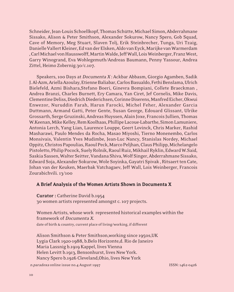Schneider, Jean-Louis Schoellkopf, Thomas Schütte, Michael Simon, Abderrahmane Sissako, Alison & Peter Smithson, Alexander Sokurow, Nancy Spero, Gob Squad, Cave of Memory, Meg Stuart, Slaven Tolj, Erik Steinbrecher, Tunga, Uri Tzaig, Danielle Vallert Kleiner, Ed van der Elsken, Aldo van Eyck, Marijke van Warmerdam , Carl Michael von Hausswolff, Martin Walde, Jeff Wall, Lois Weinberger, Franz West, Garry Winogrand, Eva Wohlegemuth/Andreas Baumann, Penny Yassour, Andrea Zittel, Heimo Zobernig.30/c.107.

Speakers, 100 Days at Documenta X : Ackbar Abbasm, Giorgio Agamben, Sadik J. Al-Azm, Ariella Azoulay, Etienne Baliabar, Carlos Basualdo, Fethi Benslama, Ulrich Bielefeld, Azmi Bishara,Stefano Boeri, Ginevra Bompiani, Collete Braeckman , Andrea Branzi, Charles Burnett, Ery Camara, Yan Ciret, Jef Cornelis, Mike Davis, Clementine Deliss, Diedrich Diederichsen, Corinne Diserens, Manfred Eicher, Okwui Enwezor, Nuruddin Farah, Harun Farocki, Michel Feher, Alexander Garcia Duttmann, Armand Gatti, Peter Gente, Susan George, Edouard Glissant, Ulrike Grossarth, Serge Gruzinski, Andreas Huyssen, Alain Joxe, Francois Jullien, Thomas W.Keenan, Mike Kelley, Rem Koolhaas, Phillipe Lacoue-Labarthe, Simon Lamuniere, Antonia Lerch, Yang Lian, Laurence Louppe, Geert Lovinck, Chris Marker, Rashid Masharawi, Paulo Mendes da Rocha, Masao Miyoshi, Tierno Monenembo, Carlos Monsivais, Valentin Yves Mudimbe, Jean-Luc Nancy, Stanislas Nordey, Michael Oppitz, Christos Papoulias, Raoul Peck, Marco Peljhan, Claus Philipp, Michelangelo Pistoletto, Philip Pocock, Suely Rolnik, Raoul Ruiz, Mikhail Ryklin, Edward W.Said, Saskia Sassen, Walter Seitter, Vandana Shiva, Wolf Singer, Abderrahmane Sissako, Edward Soja, Alexander Sokurow, Wole Soyinka, Gayatri Spivak , Ritsaert ten Cate, Johan van der Keuken, Maerbak Vatchagaev, Jeff Wall, Lois Weinberger, Francois Zourabichvili. 13/100

#### A Brief Analysis of the Women Artists Shown in Documenta X

Curator : Catherine David b.1954

30 women artists represented amongst c. 107 projects.

Women Artists, whose work represented historical examples within the framework of Documenta X. date of birth & country, current place of living/working, if different

Alison Smithson & Peter Smithson,working since 1950s,UK Lygia Clark 1920-1988, b.Belo Horizonte,d. Rio de Janeiro Maria Lassnig b.1919 Kappel, lives Vienna Helen Levitt b.1913, Bensonhurst, lives New York. Nancy Spero b.1926 Cleveland,Ohio, lives New York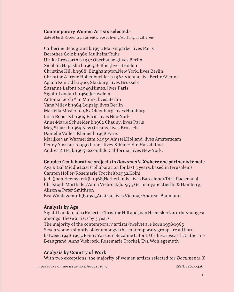#### Contemporary Women Artists selected:-

date of birth & country, current place of living/working, if different

Catherine Beaugrand b.1953, Marzingarbe, lives Paris Dorothee Golz b.1960 Mulheim/Ruhr Ulrike Grossarth b.1952 Oberhausen,lives Berlin Siobhán Hapaska b.1965,Belfast,lives London Christine Hill b.1968, Binghampton,New York, lives Berlin Christine & Irene Hohenbüchler b.1964 Vienna, live Berlin/Vienna Aglaia Konrad b.1960, Slazburg, lives Brussels Suzanne Lafont b.1949,Nimes, lives Paris Sigalit Landau b.1969 Jerusalem Antonia Lerch \* in Mainz, lives Berlin Yana Milev b.1964,Leipzig, lives Berlin Mariella Mosler b.1962 Oldenburg, lives Hamburg Liisa Roberts b.1969 Paris, lives New York Anne-Marie Schneider b.1962 Chauny, lives Paris Meg Stuart b.1965 New Orleans, lives Brussels Danielle Vallert Kleiner b.1958 Paris Marijke van Warmerdam b.1959 Amstel,Holland, lives Amstersdam Penny Yassour b.1950 Israel, lives Kibbutz Ein Harod Ihud Andrea Zittel b.1965 Escondido,California, lives New York.

#### Couples / collaborative projects in *Documenta X* where one partner is female

Aya & Gal Middle East (collaboration for last 5 years, based in Jerusalem) Carsten Höller/Rosemarie Trockel(b.1952,Koln) jodi (Joan Heemskerk(b.1968,Netherlands, lives Barcelona)/Dirk Paesmans) Christoph Marthaler/Anna Viebrock(b.1951, Germany,incl.Berlin & Hamburg) Alison & Peter Smithson Eva Wohlegemuth(b.1955,Austria, lives Vienna)/Andreas Baumann

#### Analysis by Age

Sigalit Landau,Liisa Roberts, Christine Hill and Joan Heemskerk are the youngest amongst these artists by 3 years.

The majority of the contemporary artists (twelve) are born 1958-1965 Seven women slightly older amongst the contemporary group are all born between 1948-1955: Penny Yassour, Suzanne Lafont, Ulrike Grossarth, Catherine Beaugrand, Anna Viebrock, Rosemarie Trockel, Eva Wohlegemuth

#### Analysis by Country of Work

With two exceptions, the majority of women artists selected for *Documenta X*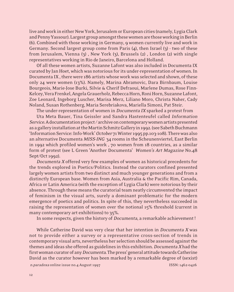live and work in either New York, Jerusalem or European cities (namely, Lygia Clark and Penny Yassour). Largest group amongst these women are those working in Berlin (6). Combined with those working in Germany, 9 women currently live and work in Germany. Second largest group come from Paris (4), then Israel (3) - two of these from Jerusalem, Vienna (3) , New York (3), Brussels (2) , London (2) with single representatives working in Rio de Janeiro, Barcelona and Holland.

Of all these women artists, Suzanne Lafont was also included in Documenta IX curated by Jan Hoet, which was notorious for its under-representation of women. In Documenta IX , there were 186 artists whose work was selected and shown, of these only 24 were women (13%). Namely, Marina Abramovic, Dara Birnbaum, Louise Bourgeois, Marie-Jose Burki, Silvie & Cherif Defraoui, Marlene Dumas, Rose Finn-Kelcey, Vera Frenkel, Angela Grauerholz, Rebecca Horn, Roni Horn, Suzanne Lafont, Zoe Leonard, Ingeborg Luscher, Marisa Merz, Liliano Moro, Christa Naher, Cady Noland, Susan Rothenberg, Maria Serebriakova, Mariella Simoni, Pat Steir.

The under-representation of women in Documenta IX sparked a protest from

Uta Meta Bauer, Tina Geissler and Sandra Hastenteufel called Information Service. A documentation project / archive on contemporary women artists presented as a gallery installation at the Martin Schmitz Gallery in 1992. (see Sabeth Buchmann 'Information Service: Info-Work' October 71 Winter 1995 pp.103-108). There was also an alternative Documenta MISS-ING 34 rooms in the Scheunenviertel, East Berlin in 1992 which profiled women's work , 70 women from 18 countries, as a similar form of protest (see L Green 'Another Documenta' Women's Art Magazine No.48 Sept/Oct 1992).

Documenta X offered very few examples of women as historical precedents for the trends explored in Poetics/Politics. Instead the curators confined presented largely women artists from two distinct and much younger generations and from a distinctly European base. Women from Asia, Australia & the Pacific Rim, Canada, Africa or Latin America (with the exception of Lygia Clark) were notorious by their absence. Through these means the curatorial team neatly circumvented the impact of feminism in the visual arts, surely a dominant problematic for the modern emergence of poetics and politics. In spite of this, they nevertheless succeeded in raising the representation of women over the notional 15% threshold (current in many contemporary art exhibitions) to 35%.

In some respects, given the history of Documenta, a remarkable achievement !

While Catherine David was very clear that her intention in *Documenta X* was not to provide either a survey or a representative cross-section of trends in contemporary visual arts, nevertheless her selection should be assessed against the themes and ideas she offered as guidelines in this exhibition. Documenta X had the first woman curator of any Documenta. The press' general attitude towards Catherine David as the curator however has been marked by a remarkable degree of (sexist)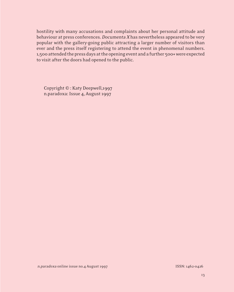hostility with many accusations and complaints about her personal attitude and behaviour at press conferences. Documenta X has nevertheless appeared to be very popular with the gallery-going public attracting a larger number of visitors than ever and the press itself registering to attend the event in phenomenal numbers. 1,500 attended the press days at the opening event and a further 500+ were expected to visit after the doors had opened to the public.

Copyright © : Katy Deepwell,1997 n.paradoxa: Issue 4, August 1997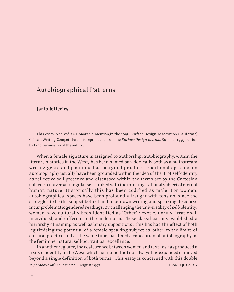### Autobiographical Patterns

#### Janis Jefferies

This essay received an Honorable Mention,in the 1996 Surface Design Association (California) Critical Writing Competition. It is reproduced from the Surface Design Journal, Summer 1997 edition by kind permission of the author.

When a female signature is assigned to authorship, autobiography, within the literary histories in the West, has been named paradoxically both as a mainstream writing genre and positioned as marginal practice. Traditional opinions on autobiography usually have been grounded within the idea of the 'I' of self-identity as reflective self-presence and discussed within the terms set by the Cartesian subject: a universal, singular self - linked with the thinking, rational subject of eternal human nature. Historically this has been codified as male. For women, autobiographical spaces have been profoundly fraught with tension, since the struggles to be the subject both of and in our own writing and speaking discourse incur problematic gendered readings. By challenging the universality of self-identity, women have culturally been identified as 'Other' : exotic, unruly, irrational, uncivilised, and different to the male norm. These classifications established a hierarchy of naming as well as binary oppositions ; this has had the effect of both legitimising the potential of a female speaking subject as 'other' to the limits of cultural practice and at the same time, has fixed a conception of autobiography as the feminine, natural self-portrait par excellence.<sup>1</sup>

n.paradoxa online issue no.4 August 1997 ISSN: 1462-0426 In another register, the coalescence between women and textiles has produced a fixity of identity in the West, which has named but not always has expanded or moved beyond a single definition of both terms.<sup>2</sup> This essay is concerned with this double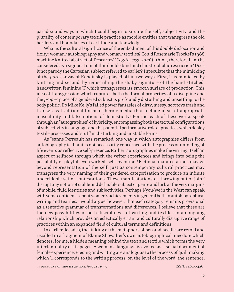paradox and ways in which I could begin to situate the self, subjectivity, and the plurality of contemporary textile practice as mobile entities that transgress the old borders and boundaries of certitude and knowledge.

What is the cultural significance of the embodiment of this double dislocation and fixity : woman / autobiography and woman / textiles? Could Rosemarie Trockel's 1988 machine knitted abstract of Descartes' 'Cogito, ergo sum' (I think, therefore I am) be considered as a signpost out of this double-bind and claustrophobic restriction? Does it not parody the Cartesian subject referred to earlier? I speculate that the mimicking of the *pure* canvas of Kandinsky is played off in two ways. First, it is mimicked by knitting and second, by reinscribing the shaky signature of the hand stitched, handwritten feminine 'I' which transgresses its smooth surface of production. This idea of transgression which ruptures both the formal properties of a discipline and the proper place of a gendered subject is profoundly disturbing and unsettling to the body politic. Do Mike Kelly's failed power fantasies of dirty, messy, soft toys trash and transgress traditional forms of heroic media that include ideas of appropriate masculinity and false notions of domesticity? For me, each of these works speak through an "autographies" of hybridity, encompassing both the textual configurations of subjectivity in language and the potential performative role of practices which deploy textile processes and 'stuff' in disturbing and unstable forms.

As Jeanne Perreault has remarked, one way in which autographies differs from autobiography is that it is not necessarily concerned with the process or unfolding of life events as reflective self-presence. Rather, autographies make the writing itself an aspect of selfhood through which the writer experiences and brings into being the possibility of playful, even wicked, self-invention.3 Fictional manifestations may go beyond representation of the self, just as contemporary cultural practices may transgress the very naming of their gendered categorisation to produce an infinite undecidable set of contestations. These manifestations of 'throwing-out-of-joint' disrupt any notion of stable and definable subject or genre and lurk at the very margins of mobile, fluid identities and subjectivities. Perhaps l/you/we in the West can speak with some confidence about women's achievements in general both in autobiographical writing and textiles. I would argue, however, that each category remains provisional as a tentative grammar of transformations and differences. I believe that these are the new possibilities of both disciplines – of writing and textiles in an ongoing relationship which provides an eclectically errant and culturally disruptive range of practices within an expanded field of cultural terms and definitions.

In earlier decades, the linking of the metaphors of pen and needle are retold and recalled in a fragment of Elaine Showalter's own autobiographical anecdote which denotes, for me, a hidden meaning behind the text and textile which forms the very intertextuality of its pages. A women s language is evoked as a social document of female experience. Piecing and writing are analogous to the process of quilt making which '...corresponds to the writing process, on the level of the word, the sentence,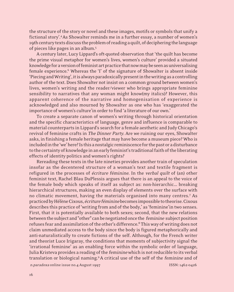the structure of the story or novel and these images, motifs or symbols that unify a fictional story'.4 As Showalter reminds me in a further essay, a number of women's 19th century texts discuss the problem of reading a quilt, of deciphering the language of pieces like pages in an album.5

A century later, Lucy Lippard's oft-quoted observation that 'the quilt has become the prime visual metaphor for women's lives, women's culture' provided a situated knowledge for a version of feminist art practice that now may be seen as universalising female experience.<sup>6</sup> Whereas the 'I' of the signature of Showalter is absent inside 'Piecing and Writing', it is always paradoxically present in the writing as a controlling author of the text. Does Showalter not insist on a common ground between women's lives, women's writing and the reader/viewer who brings appropriate feminine sensibility to narratives that any woman might know(my italics)? However, this apparent coherence of the narrative and homogenisation of experience is acknowledged and also mourned by Showalter as one who has 'exaggerated the importance of women's culture'in order to find 'a literature of our own.'

To create a separate canon of women's writing through historical orientation and the specific characteristics of language, genre and influence is comparable to material counterparts in Lippard's search for a female aesthetic and Judy Chicago's revival of feminine crafts in The Dinner Party. Are we ruining our eyes, Showalter asks, in finishing a female heritage that may have become a museum piece? Who is included in the 'we' here? Is this a nostalgic reminiscence for the past or a disturbance to the certainty of knowledge in an early feminist's traditional faith of the liberating effects of identity politics and women's rights?

Rereading these texts in the late nineties provides another train of speculation insofar as the decentered structure of a woman's text and textile fragment is refigured in the processes of écriture féminine. In the verbal quilt of (an) other feminist text, Rachel Blau DuPlessis argues that there is an appeal to the voice of the female body which speaks of itself as subject as: non-hierarchic... breaking hierarchical structures, making an even display of elements over the surface with no climatic movement, having the materials organised into many centres.7 As practiced by Hélène Cixous, écriture féminine becomes impossible to theorise. Cixous describes this practice of 'writing from and of the body,' as 'feminine'in two senses. First, that it is potentially available to both sexes; second, that the new relations between the subject and "other" can be negotiated once the feminine subject position refuses fear and assimilation of the other's difference.<sup>8</sup> This way of writing does not claim unmediated access to the body since the body is figured metaphorically and anti-naturalistically to create fictions of the self. Although, for the French writer and theorist Luce Irigaray, the conditions that moments of subjectivity signal the 'irrational feminine' as an enabling force within the symbolic order of language, Julia Kristeva provides a reading of the feminine which is not reducible to its verbal translation or biological naming.9 A critical use of the self of the feminine and of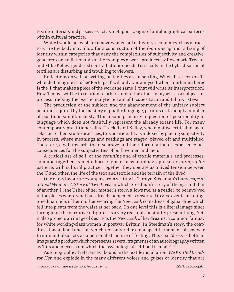textile materials and processes act as metaphoric signs of autobiographical patterns within cultural practice.

While I would not wish to remove women out of history, economics, class or race, to write the body may allow for a construction of the feminine against a fixing of identity within categories that deny the complexities of subjectivity and creative, gendered contradictions. As in the examples of work produced by Rosemarie Trockel and Mike Kelley, gendered contradictions encoded critically in the hybridisation of textiles are disturbing and troubling to viewers.

Reflections on self, on writing, on textiles are unsettling. When 'I' reflects on 'I', what do I imagine it to be? Perhaps 'I' will only know myself when another is there? Is the 'I' that makes a piece of the work the same 'I' that will write its interpretation? How 'I' move will be in relation to others and to the other in myself, as a subject-inprocess tracking the psychoanalytic terrain of Jacques Lacan and Julia Kristeva.

The production of the subject, and the abandonment of the unitary subject position required by the mastery of phallic language, permits us to adopt a number of positions simultaneously. This also is primarily a question of positionality in language which does not faithfully represent the already extant life. For many contemporary practitioners like Trockel and Kelley, who mobilise critical ideas in relation to their studio practices, this positionality is indexed by placing subjectivity in process, where meanings and readings are staged, played off and multiplied. Therefore, a will towards the discursive and the reformulation of experience has consequences for the subjectivities of both women and men.

A critical use of self, of the feminine and of textile materials and processes, combine together as metaphoric signs of new autobiographical or *autographic* patterns with cultural practice. Together they operate as a lived tension between the 'I' and other, the life of the text and textile and the terrain of the lived.

One of my favourite examples from writing is Carolyn Steedman's Landscape of a Good Woman: A Story of Two Lives in which Steedman's story of the eye and that of another 'I', the Usher of her mother's story, allows me, as a reader, to be involved in the places where what has already happened is reworked to give events meaning. Steedman tells of her mother wearing the New Look coat/dress of gabardine which fell into pleats from the waist at her back. On one level this is a literal image since throughout the narrative it figures as a very real and constantly present thing. Yet, it also projects an image of desire as the *New Look* of her dreams: a common fantasy for white working-class women in postwar Britain. In Steedman's story, the coat/ dress has a dual function which not only refers to a specific moment of postwar Britain but also acts as a personal structure of feeling. This coat/dress is both an image and a product which represents several fragments of an autobiography written as 'bits and pieces from which the psychological selfhood is made'. 10

Autobiographical references abound in the textile installation, We Knitted Braids for Her, and explode in the many different voices and guises of identity that are

n.paradoxa online issue no.4 August 1997 **ISSN: 1462-0426** ISSN: 1462-0426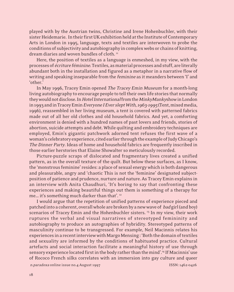played with by the Austrian twins, Christine and Irene Hohenbuchler, with their sister Heidemarie. In their first UK exhibition held at the Institute of Contemporary Arts in London in 1995, language, texts and textiles are interwoven to probe the conditions of subjectivity and autobiography in complex webs or chains of knitting, dream diaries and woven bundles of cloth.<sup>11</sup>

Here, the position of textiles as a language is enmeshed, in my view, with the processes of écriture féminine. Textiles, as material processes and stuff, are literally abundant both in the installation and figured as a metaphor in a narrative flow of writing and speaking inseparable from the feminine as it meanders between 'I' and 'other.'

In May 1996, Tracey Emin opened The Tracey Emin Museum for a month-long living autobiography to encourage people to tell their own life stories that normally they would not disclose. In Hotel International from the MinkyMankyshow in London in 1993 and in Tracey Emin Everyone I Ever slept With, 1963-1995 (Tent, mixed media, 1996), reassembled in her living museum, a tent is covered with patterned fabrics made out of all her old clothes and old household fabrics. And yet, a comforting environment is denied with a hundred names of past lovers and friends, stories of abortion, suicide attempts and debt. While quilting and embroidery techniques are employed, Emin's gigantic patchwork adorned tent refuses the first wave of a woman's celebratory experience, cited earlier through the example of Judy Chicago's The Dinner Party. Ideas of home and household fabrics are frequently inscribed in those earlier herstories that Elaine Showalter so meticulously recorded.

Picture-puzzle scraps of dislocated and fragmentary lives created a unified pattern, as in the overall texture of the quilt. But below these surfaces, as I know, the 'monstrous feminine' resides: a place of sexual energy which is both dangerous and pleasurable, angry and 'chaotic This is not the 'feminine' designated subjectposition of patience and prudence, nurture and nature. As Tracey Emin explains in an interview with Anita Chaudhuri, 'It's boring to say that confronting these experiences and making beautiful things out them is something of a therapy for me... it's something much darker than that'. 12

I would argue that the repetition of unified patterns of experience pieced and patched into a coherent, overall whole are broken by a new wave of bad girl (and boy) scenarios of Tracey Emin and the Hohenbuchler sisters.<sup>13</sup> In my view, their work ruptures the verbal and visual narratives of stereotyped femininity and autobiography to produce an autographies of hybridity. Stereotyped patterns of masculinity continue to be transgressed. For example, Neil Macinnis relates his experiences in a recent interview with Margo Mensing : 'Both the domain of textiles and sexuality are informed by the conditions of habituated practice. Cultural artefacts and social interaction facilitate a meaningful history of use through sensory experience located first in the body rather than the mind'.14 If Macinnis' use of Rococo French silks correlates with an immersion into gay culture and queer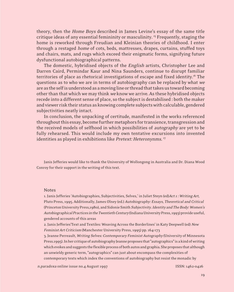theory, then the Home Boys described in James Levine's essay of the same title critique ideas of any essential femininity or masculinity.<sup>15</sup> Frequently, staging the home is reworked through Freudian and Kleinian theories of childhood. I enter through a restaged home of cots, beds, mattresses, drapes, curtains, stuffed toys and chairs, mats, and rugs which exceed their enigmatic forms, signifying future dysfunctional autobiographical patterns.

The domestic, hybridised objects of the English artists, Christopher Lee and Darren Caird, Permindar Kaur and Nina Saunders, continue to disrupt familiar territories of place as rhetorical investigations of escape and fixed identity.<sup>16</sup> The questions as to who we are in terms of autobiography can be replaced by what we are as the self is understood as a moving line or thread that takes us toward becoming other than that which we may think we know we arrive. As these hybridised objects recede into a different sense of place, so the subject is destabilised : both the maker and viewer risk their status as knowing complete subjects with calculable, gendered subjectivities neatly intact.

In conclusion, the unpacking of certitude, manifested in the works referenced throughout this essay, become further metaphors for transience, transgression and the received models of selfhood in which possibilities of *autography* are yet to be fully rehearsed. This would include my own tentative excursions into invented identities as played in exhibitions like Pretext: Heteronynms.<sup>17</sup>

Janis Jefferies would like to thank the University of Wollongong in Australia and Dr. Diana Wood Conroy for their support in the writing of this text.

#### Notes

1. Janis Jefferies 'Autobiographies, Subjectivities, Selves,' in Juliet Steyn (ed)Act 1 : Writing Art, Pluto Press, 1995. Additionally, James Olney (ed.) Autobiography: Essays, Theoretical and Critical (Princeton University Press,1980), and Sidonie Smith Subjectivity. Identity and The Body: Women's Autobiographical Practices in the Twentieth Century (Indiana University Press, 1993) provide useful, gendered accounts of this areas

2. Janis Jefferies'Text and Textiles: Weaving Across the Borderlines' in Katy Deepwell (ed) New Feminist Art Criticism (Manchester University Press, 1995) pp. 164-173

3. Jeanne Perreault, Writing Selves: Contemporary Feminist Autography (University of Minnesota Press.1995). In her critique of autobiography Jeanne proposes that "autographics" is a kind of writing which evokes and suggests the flexible process of both autos and graphia. She proposes that although an unwieldy generic term, "autographics" can just about encompass the complexities of contemporary texts which index the conventions of autobiography but resist the monadic by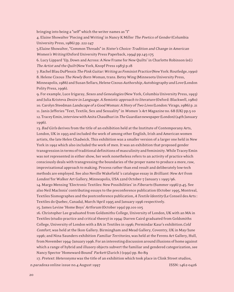bringing into being a "self" which the writer names as "I"

4. Elaine Showalter 'Piecing and Writing' in Nancy K Miller The Poetics of Gender (Columbia University Press, 1986) pp. 222-247

5.Elaine Showalter, "Common Threads" in Sister's Choice: Tradition and Change in American Women's Writing (Oxford University Press Paperback, 1994) pp.145-175

6. Lucy Lippard 'Up, Down and Across: A New Frame for New Quilts' in Charlotte Robinson (ed.) The Artist and the Quilt (New York, Knopf Press 1983) p.18

7. Rachel Blau DuPlessis The Pink Guitar: Writing as Feminist Practice (New York: Routledge, 1990) 8. Helene Cixous The Newly Born Woman, trans. Betsy Wing (Minnesota University Press,

Minneapolis, 1986) and Susan Sellars, Helene Cixous Authorship, Autobiography and Love (London Polity Press, 1996).

9. For example, Luce Irigaray, Sexes and Genealogies (New York, Columbia University Press, 1993) and Julia Kristeva Desire in Language. A Semiotic approach to literature (Oxford: Blackwell, 1980) 10. Carolyn Steedman Landscape of a Good Woman: A Story of Two Lives (London: Virago, 1986) p. 21 11. Janis Jefferies "Text, Textile, Sex and Sexuality" in Women 's Art Magazine no. 68 (UK) pp.5-10 12. Tracey Emin, interview with Anita Chaudhuri in *The Guardian* newspaper (London) (24th January 1996).

13. Bad Girls derives from the title of an exhibition held at the Institute of Contemporany Arts, London, UK in 1993 and included the work of among other English, Irish and American women artists, the late Helen Chadwick. This exhibition was a smaller version of a larger one held in New York in 1992 which also included the work of men. It was an exhibition that proposed gender transgression in terms of traditional definitions of masculinity and femininity. While Tracey Emin was not represented in either show, her work nonetheless refers to an activity of practice which consciously deals with transgressing the boundaries of the proper name to produce a more, raw, improvisational approach to making. Process rather than end result and deliberately low-tech methods are employed. See also Neville Wakefield 's catalogue essay in Brilliant: New Art from London! for Walker Art Gallery, Minneapolis, USA 22nd October-7 January 1 1995/96.

14. Margo Mensing 'EIectronic Textiles: New Possibilities' in Fiberarts (Summer 1996) p.45. See also Neil Maclnnis' contributing essays to the preconference publication (October 1995, Montreal, Textiles Sismographes and the postconference publication, A Textile ldentity (Le Conseil des Arts : Textiles do Quebec, Canada), March/April 1995 and January 1996 respectively.

15. James Levine 'Home Boys' Artforum (October 1991) pp.101-105

16. Christopher Lee graduated from Goldsmiths College, University of London, UK with an MA in Textiles (studio practice and critical theory) in 1994: Darren Caird graduated from Goldsmiths College, University of London with a BA in Textiles in 1996; Permindar Kaur's exhibition.Cold Comfort, was held at the Ikon Gallery. Birmingham and Mead Gallery, Coventry, UK in May/June 1996; and Nina Saunders exhibition *Familiar Territories*, was held at the Ferens Art Gallery, Hull, from November 1994- January 1996. For an interesting discussion around illusions of home against which a range of hybrid and illusory objects subvert the familiar and gendered categorization, see Nancy Spector 'Homeward-Bound' Parkett (Zurich ) (1991) pp. 80-89

n.paradoxa online issue no.4 August 1997 17. Pretext: Heteronyms was the title of an exhibition which took place in Clink Street studios,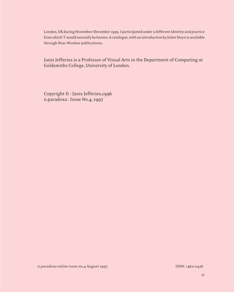London, UK during November/December 1995. I participated under a different identity and practice from which 'I' would normally be known. A catalogue, with an introduction by Juliet Steyn is available through Rear Window publications.

Janis Jefferies is a Professor of Visual Arts in the Department of Computing at Goldsmiths College, University of London.

Copyright © : Janis Jefferies,1996 n.paradoxa : Issue No.4, 1997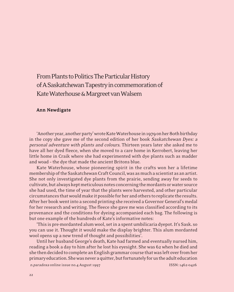## From Plants to Politics The Particular History of A Saskatchewan Tapestry in commemoration of Kate Waterhouse & Margreet van Walsem

#### Ann Newdigate

'Another year, another party' wrote Kate Waterhouse in 1979 on her 80th birthday in the copy she gave me of the second edition of her book Saskatchewan Dyes: a personal adventure with plants and colours. Thirteen years later she asked me to have all her dyed fleece, when she moved to a care home in Kerrobert, leaving her little home in Craik where she had experimented with dye plants such as madder and woad – the dye that made the ancient Britons blue.

Kate Waterhouse, whose pioneering spirit in the crafts won her a lifetime membership of the Saskatchewan Craft Council, was as much a scientist as an artist. She not only investigated dye plants from the prairie, sending away for seeds to cultivate, but always kept meticulous notes concerning the mordants or water source she had used, the time of year that the plants were harvested, and other particular circumstances that would make it possible for her and others to replicate the results. After her book went into a second printing she received a Governor General's medal for her research and writing. The fleece she gave me was classified according to its provenance and the conditions for dyeing accompanied each bag. The following is but one example of the hundreds of Kate's informative notes:

'This is pre-mordanted alum wool, set in a spent umbilicaria dyepot. It's Sask. so you can use it. Thought it would make the display brighter. This alum mordanted wool opens up a new trend of thought and possibilities'.

n.paradoxa online issue no.4 August 1997 ISSN: 1462-0426 Until her husband George's death, Kate had farmed and eventually nursed him, reading a book a day to him after he lost his eyesight. She was 62 when he died and she then decided to complete an English grammar course that was left over from her primary education. She was never a quitter, but fortunately for us the adult education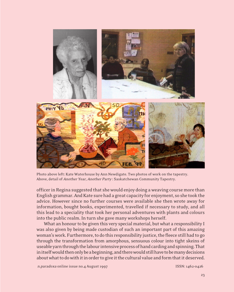

Photo above left: Kate Waterhouse by Ann Newdigate. Two photos of work on the tapestry. Above, detail of Another Year, Another Party : Saskatchewan Community Tapestry.

officer in Regina suggested that she would enjoy doing a weaving course more than English grammar. And Kate sure had a great capacity for enjoyment, so she took the advice. However since no further courses were available she then wrote away for information, bought books, experimented, travelled if necessary to study, and all this lead to a speciality that took her personal adventures with plants and colours into the public realm. In turn she gave many workshops herself.

What an honour to be given this very special material, but what a responsibility I was also given by being made custodian of such an important part of this amazing woman's work. Furthermore, to do this responsibility justice, the fleece still had to go through the transformation from amorphous, sensuous colour into tight skeins of useable yarn through the labour intensive process of hand carding and spinning. That in itself would then only be a beginning, and there would still have to be many decisions about what to do with it in order to give it the cultural value and form that it deserved.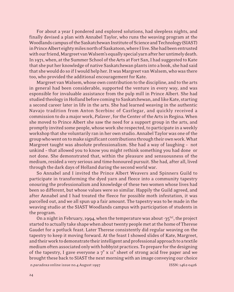For about a year I pondered and explored solutions, had sleepless nights, and finally devised a plan with Annabel Taylor, who runs the weaving program at the Woodlands campus of the Saskatchewan Institute of Science and Technology (SIAST) in Prince Albert eighty miles north of Saskatoon, where I live. She had been entrusted with our friend, Margreet van Walsem's equally special yarn after her untimely death. In 1971, when, at the Summer School of the Arts at Fort San, I had suggested to Kate that she put her knowledge of native Saskatchewan plants into a book, she had said that she would do so if I would help her. It was Margreet van Walsem, who was there too, who provided the additional encouragement for Kate.

Margreet van Walsem, whose own contribution to the discipline, and to the arts in general had been considerable, supported the venture in every way, and was esponsible for invaluable assistance from the pulp mill in Prince Albert. She had studied theology in Holland before coming to Saskatchewan, and like Kate, starting a second career later in life in the arts. She had learned weaving in the authentic Navajo tradition from Anton Scerbinc of Castlegar, and quickly received a commission to do a major work, Palaver , for the Center of the Arts in Regina. When she moved to Prince Albert she saw the need for a support group in the arts, and promptly invited some people, whose work she respected, to participate in a weekly workshop that she voluntarily ran in her own studio. Annabel Taylor was one of the group who went on to make significant contributions through their own work. What Margreet taught was absolute professionalism. She had a way of laughing – not unkind – that allowed you to know you might rethink something you had done or not done. She demonstrated that, within the pleasure and sensuousness of the medium, resided a very serious and time-honoured pursuit. She had, after all, lived through the dark days of Holland during the second world war.

So Annabel and I invited the Prince Albert Weavers and Spinners Guild to participate in transforming the dyed yarn and fleece into a community tapestry onouring the professionalism and knowledge of these two women whose lives had been so different, but whose values were so similar. Happily the Guild agreed, and after Annabel and I had treated the fleece for possible moth infestation, it was parcelled out, and we all spun up a fair amount. The tapestry was to be made in the weaving studio at the SIAST Woodlands campus with participation of students in the program.

On a night in February, 1994, when the temperature was about -35<sup>%C</sup>, the project started to actually take shape when about twenty people met at the home of Therese Gaudet for a potluck feast. Later Therese consistently did regular weaving on the tapestry to keep it moving forward. At the feast I showed slides of Kate, Margreet, and their work to demonstrate their intelligent and professional approach to a textile medium often associated only with hobbyist practices. To prepare for the designing of the tapestry, I gave everyone a  $7''$  x 11" sheet of strong acid free paper and we brought these back to SIAST the next morning with an image conveying our choice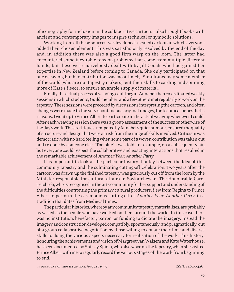of iconography for inclusion in the collaborative cartoon. I also brought books with ancient and contemporary images to inspire technical or symbolic solutions.

Working from all these sources, we developed a scaled cartoon in which everyone added their chosen element. This was satisfactorily resolved by the end of the day and, in addition there was also a good firm warp on the loom. The latter had encountered some inevitable tension problems that come from multiple different hands, but these were marvelously dealt with by Jill Couch, who had gained her expertise in New Zealand before coming to Canada. She only participated on that one occasion, but her contribution was most timely. Simultaneously some member of the Guild (who are not tapestry makers) lent their skills to carding and spinning more of Kate's fleece, to ensure an ample supply of material.

Finally the actual process of weaving could begin. Annabel then co-ordinated weekly sessions in which students, Guild member, and a few others met regularly to work on the tapestry. These sessions were preceded by discussions interpreting the cartoon, and often changes were made to the very spontaneous original images, for technical or aesthetic reasons. I went up to Prince Albert to participate in the actual weaving whenever I could. After each weaving session there was a group assessment of the success or otherwise of the day's work. These critiques, tempered by Annabel's quiet humour, ensured the quality of structure and design that were at risk from the range of skills involved. Criticism was democratic, with no hard feeling when some part of a woven contribution was taken out and re-done by someone else. "Too blue" I was told, for example, on a subsequent visit, but everyone could respect the collaborative and exacting interactions that resulted in the remarkable achievement of Another Year, Another Party.

It is important to look at the particular history that lay between the Idea of this community tapestry and the culminating cutting-off Celebration. Two years after the cartoon was drawn up the finished tapestry was graciously cut off from the loom by the Minister responsible for cultural affairs in Saskatchewan. The Honourable Carol Teichrob, who is recognised in the arts community for her support and understanding of the difficulties confronting the primary cultural producers, flew from Regina to Prince Albert to perform the ceremonious cutting-off of Another Year, Another Party, in a tradition that dates from Medieval times.

The particular histories, whereby any community tapestry materialises, are probably as varied as the people who have worked on them around the world. In this case there was no institution, benefactor, patron, or funding to dictate the imagery. Instead the imagery and construction developed compatibly, spontaneously, and pragmatically, out of a group collaborative negotiation by those willing to donate their time and diverse skills to doing the various aspects necessary for realisation of the work. This history, honouring the achievements and vision of Margreet van Walsem and Kate Waterhouse, has been documented by Shirley Spidla, who also wove on the tapestry, when she visited Prince Albert with me to regularly record the various stages of the work from beginning to end.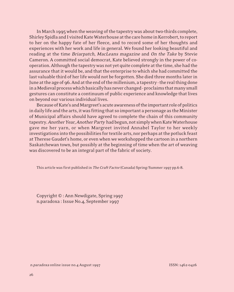In March 1995 when the weaving of the tapestry was about two-thirds complete, Shirley Spidla and I visited Kate Waterhouse at the care home in Kerrobert, to report to her on the happy fate of her fleece, and to record some of her thoughts and experiences with her work and life in general. We found her looking beautiful and reading at the time Briarpatch, MacLeans magazine and On the Take by Stevie Cameron. A committed social democrat, Kate believed strongly in the power of cooperation. Although the tapestry was not yet quite complete at the time, she had the assurance that it would be, and that the enterprise to which she had committed the last valuable third of her life would not be forgotten. She died three months later in June at the age of 96. And at the end of the millenium, a tapestry - the real thing done in a Medieval process which basically has never changed - proclaims that many small gestures can constitute a continuum of public experience and knowledge that lives on beyond our various individual lives.

Because of Kate's and Margreet's acute awareness of the important role of politics in daily life and the arts, it was fitting that so important a personage as the Minister of Municipal affairs should have agreed to complete the chain of this community tapestry. Another Year, Another Party had begun, not simply when Kate Waterhouse gave me her yarn, or when Margreet invited Annabel Taylor to her weekly investigations into the possibilities for textile arts, nor perhaps at the potluck feast at Therese Gaudet's home, or even when we workshopped the cartoon in a northern Saskatchewan town, but possibly at the beginning of time when the art of weaving was discovered to be an integral part of the fabric of society.

This article was first published in The Craft Factor (Canada) Spring/Summer 1997 pp.6-8.

Copyright © : Ann Newdigate, Spring 1997 n.paradoxa : Issue No.4, September 1997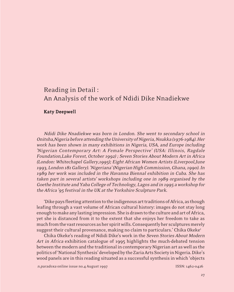### Reading in Detail : An Analysis of the work of Ndidi Dike Nnadiekwe

#### Katy Deepwell

Ndidi Dike Nnadiekwe was born in London. She went to secondary school in Onitsha,Nigeria before attending the University of Nigeria, Nsukka (1976-1984). Her work has been shown in many exhibitions in Nigeria, USA, and Europe including 'Nigerian Contemporary Art: A Female Perspective' (USA: Illinois, Ragdale Foundation,Lake Forest, October 1992) ; Seven Stories About Modern Art in Africa (London: Whitechapel Gallery,1995); Eight African Women Artists (Liverpool,June 1993, London 181 Gallery). 'Nigeriana' (Nigerian High Commission, Ghana, 1990). In 1989 her work was included in the Havanna Biennal exhibition in Cuba. She has taken part in several artists' workshops including one in 1989 organised by the Goethe Institute and Yaba College of Technology, Lagos and in 1995 a workshop for the Africa '95 festival in the UK at the Yorkshire Sculpture Park.

'Dike pays fleeting attention to the indigenous art traditions of Africa, as though leafing through a vast volume of African cultural history: images do not stay long enough to make any lasting impression. She is drawn to the culture and art of Africa, yet she is distanced from it to the extent that she enjoys her freedom to take as much from the vast resources as her spirit wills. Consequently her sculptures merely suggest their cultural provenance, making no claim to particulars.' Chika Okeke<sup>1</sup>

Chika Okeke's reading of Ndidi Dike's work in the Seven Stories About Modern Art in Africa exhibition catalogue of 1995 highlights the much-debated tension between the modern and the traditional in contemporary Nigerian art as well as the politics of 'National Synthesis' developed by the Zaria Arts Society in Nigeria. Dike's wood panels are in this reading situated as a successful synthesis in which 'objects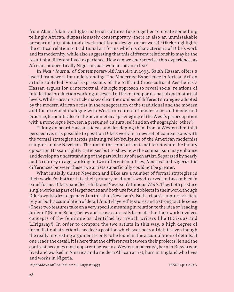from Akan, fulani and Igbo material cultures fuse together to create something tellingly African, dispassionately contemporary (there is also an unmistakable presence of uli,nsibidi and akwete motifs and designs in her work).'2 Okeke highlights the critical relation to traditional art forms which is characteristic of Dike's work and its modernity, while also suggesting that this different relationship may be the result of a different lived experience. How can we characterise this experience, as African, as specifically Nigerian, as a woman, as an artist?

In Nka : Journal of Contemporary African Art in 1995, Salah Hassan offers a useful framework for understanding 'The Modernist Experience in African Art' an article subtitled 'Visual Expressions of the Self and Cross-cultural Aesthetics'.3 Hassan argues for a intertextual, dialogic approach to reveal social relations of intellectual production working at several different temporal, spatial and historical levels. While Hassan's article makes clear the number of different strategies adopted by the modern African artist in the renegotation of the traditional and the modern and the extended dialogue with Western centers of modernism and modernist practice, he points also to the asymmetrical privileging of the West's preoccupation with a monologue between a presumed cultural self and an ethnographic 'other'.<sup>4</sup>

Taking on board Hassan's ideas and developing them from a Western feminist perspective, it is possible to position Dike's work in a new set of comparisons with the formal strategies across painting/relief/sculpture of the American modernist sculptor Louise Nevelson. The aim of the comparison is not to reinstate the binary oppostion Hassan rightly criticises but to show how the comparison may enhance and develop an understanding of the particularity of each artist. Separated by nearly half a century in age, working in two different countries, America and Nigeria, the differences between these two artists superficially could not be greater.

What initially unites Nevelson and Dike are a number of formal strategies in their work. For both artists, their primary medium is wood, carved and assembled in panel forms, Dike's panelled reliefs and Nevelson's famous Walls. They both produce single works as part of larger series and both use found objects in their work, though Dike's work is less dependent on this than Nevelson's. Both artists' sculptures/reliefs rely on both accumulation of detail ,'multi-layered' textures and a strong tactile sense (These two features take on a very specific meaning in relation to the idea of 'reading in detail' (Naomi Schor) below and a case can easily be made that their work involves concepts of the feminine as identified by French writers like H.Cixous and L.Irigaray5 ). In order to compare the two artists in this way, a high degree of formalistic abstraction is needed: a position which overlooks all details even though the really interesting argument is only to be found in the accumulation of details. If one reads the detail, it is here that the differences between their projects lie and the contrast becomes most apparent between a Western modernist, born in Russia who lived and worked in America and a modern African artist, born in England who lives and works in Nigeria.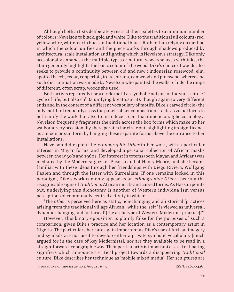Although both artists deliberately restrict their palettes to a minimum number of colours: Nevelson to black, gold and white, Dike to the traditional uli colours - red, yellow ochre, white, earth hues and additional blues. Rather than relying on method in which the colour unifies and the piece works through shadows produced by architectural scale installation and lighting which is Nevelson's strategy, Dike only occasionally enhances the multiple types of natural wood she uses with inks, the stain generally highlights the basic colour of the wood. Dike's choice of woods also seeks to provide a continuuity between old and new : indonesian rosewood, elm, spotted beech, cedar, copperfoil, iroko, pirana, camwood and pinewood, whereas no such discrimination was made by Nevelson who painted the walls to hide the range of different, often scrap, woods she used.

Both artists repeatedly use a circle motif as symbolic not just of the sun, a circle/ cycle of life, but also ch'i (a unifying breath,spirit), though again to very different ends and in the context of a different vocabulary of motifs. Dike's carved circle - the only motif to frequently cross the panels of her compositions - acts as visual focus to both unify the work, but also to introduce a spiritual dimension: Igbo cosmology. Nevelson frequently fragments the circle across the box forms which make up her walls and very occasionally she separates the circle out, highlighting its significance as a moon or sun form by hanging these separate forms above the entrance to her installations.

Nevelson did exploit the ethnographic Other in her work, with a particular interest in Mayan forms, and developed a personal collection of African masks between the 1930's and 1960s. Her interest in totems (both Mayan and African) was mediated by the Modernist gaze of Picasso and of Henry Moore, and she became familiar with these ideas through her friendships with Diego Riviera, Wolfgang Paalen and through the latter with Surrealism. If one remains locked in this paradigm, Dike's work can only appear as an ethnographic Other ; bearing the recognisable signs of traditional African motifs and carved forms. As Hassan points out, underlying this dichotomy is another of Western individualism versus perceptions of communally-centred activity in which:

'The other is perceived here as static, non-changing and ahistorical [practices arising from the traditional village African], while the 'self ' is viewed as universal, dynamic,changing and historical' [the archetype of Western Modernist practice].'6

However, this binary opposition is plainly false for the purposes of such a comparison, given Dike's practice and her location as a contemporary artist in Nigeria. The particulars here are again important as Dike's use of African imagery and symbols are not used to develop either a private symbolic vocabulary [much argued for in the case of key Modernists], nor are they available to be read in a straightforward iconographic way. Their particularity is important as a set of floating signifiers which announce a critical project towards a disappearing traditional culture. Dike describes her technique as 'mobile mixed media'. Her sculptures are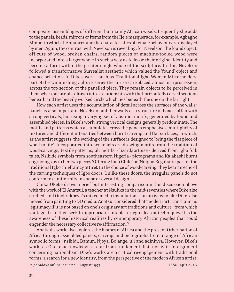composite: assemblages of different but mainly African woods, frequently she adds to the panels, beads, mirrors or items from the Ijele masquerade, for example, Agbagho Mmuo, in which the nuances and the characteristics of female behaviour are displayed by men. Again, the contrast with Nevelson is revealing; for Nevelson, the found object, off-cuts of wood, broken chairs, random pieces of machine-tooled wood were incorporated into a larger whole in such a way as to loose their original identity and become a form within the greater single whole of the sculpture. In this, Nevelson followed a transformative Surrealist aesthetic which valued the 'found' object and chance selection. In Dike's work , such as 'Traditional Igbo Women Mirrorholders' part of the 'Diminishing Culture' series the mirrors are placed, almost in a procession, across the top section of the panelled piece. They remain objects to be perceived in themselves but are also drawn into a relationship with the horizontally carved sections beneath and the heavily worked circle which lies beneath the one on the far right.

How each artist uses the accumulation of detail across the surfaces of the walls/ panels is also important. Nevelson built her walls as a structure of boxes, often with strong verticals, but using a varying set of abstract motifs, generated by found and assembled pieces. In Dike's work, strong vertical designs generally predominate. The motifs and patterns which accumulate across the panels emphasise a multiplicity of textures and different intensities between burnt carving and flat surfaces, in which, as the artist suggests, the working of the surface is designed to 'bring the flat piece of wood to life'. Incorporated into her reliefs are drawing motifs from the tradition of wood-carvings, textile patterns, uli motifs, - lizard,tortoise - derived from Igbo folk tales, Nsibide symbols from southeastern Nigeria - pictograms and Kalabashi burnt engravings as in her two pieces 'Offering for a Child' or 'Ndigbo Regalia' (a part of the traditional Igbo chieftaincy attire). In the choice of wood-carving, they bear an echo of the carving techniques of Igbo doors. Unlike these doors, the irregular panels do not conform to a uniformity in shape or overall design.

Chika Okeke draws a brief but interesting comparison in his discussion above with the work of El Anatsui, a teacher at Nsukka in the mid-seventies where Dike also studied, and Onobrakpeya's mixed media installations - an artist who like Dike, also moved from painting to 3-D media. Anatsui considered that 'modern art...can claim no legitimacy if it is not based on one's originary art traditions and culture , from which vantage it can then seek to appropriate suitable foriegn ideas or techniques. It is the awareness of these historical realities by contemporary African peoples that could engender the necessary collective re-affirmation.'7

Anatsui's work also explores the history of Africa and the present Otherisation of Africa through assembled panels, carving, and pictographs from a range of African symbolic forms : nsibidi, Bamun, Njoya, Bolange, uli and adinkyra. However, Dike's work, as Okeke acknowledges is far from fundamentalist, nor is it an argument concerning nationalism. Dike's works are a critical re-engagement with traditional forms, a search for a new identity, from the perspective of the modern African artist.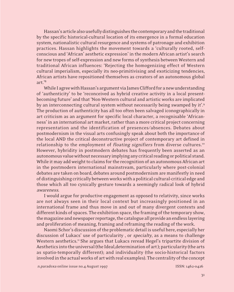Hassan's article also usefully distinguishes the contemporary and the traditional by the specific historical-cultural location of its emergence in a formal education system, nationalistic cultural resurgence and systems of patronage and exhibition practices. Hassan highlights the movement towards a 'culturally rooted, selfconscious and 'African' aesthetic expression' in the modern African artist's search for new tropes of self-expression and new forms of synthesis between Western and traditional African influences: 'Rejecting the homogenizing effect of Western cultural imperialism, especially its neo-primitivising and exoticizing tendencies, African artists have repositioned themselves as creators of an autonomous global art.'8

While I agree with Hassan's argument via James Clifford for a new understanding of 'authenticity' to be 'reconceived as hybrid creative activity in a local presentbecoming future' and that 'Non-Western cultural and artistic works are implicated by an interconnecting cultural system without necessarily being swamped by it'.9 The production of authenticity has all too often been salvaged iconographically in art criticism as an argument for specific local character, a recognisable 'Africanness' in an international art market, rather than a more critical project concerning representation and the identification of presences/absences. Debates about postmodernism in the visual arts confusingly speak about both the importance of the local AND the critical deconstructive project of contemporary art defined in relationship to the employment of floating signifiers from diverse cultures.<sup>10</sup> However, hybridity in postmodern debates has frequently been asserted as an autonomous value without necessary implying any critical reading or political stand. While it may add weight to claims for the recognition of an autonomous African art in the postmodern international mainstream, particularly where post-colonial debates are taken on board, debates around postmodernism are manifestly in need of distinguishing critically between works with a political cultural-critical edge and those which all too cynically gesture towards a seemingly radical look of hybrid awareness.

I would argue for productive engagement as opposed to relativity, since works are not always seen in their local context but increasingly positioned in an international frame and thus move in and out of many divergent contexts and different kinds of spaces. The exhibition space, the framing of the temporary show, the magazine and newspaper reportage, the catalogue all provide an endless layering and proliferation of meaning, framing and reframing the reading of the work.

Naomi Schor's discussion of the problematic detail is useful here, especially her discussion of Lukacs' use of particularity , or specialty, as a means to challenge Western aesthetics.<sup>11</sup> She argues that Lukacs reread Hegel's tripartite division of Aesthetics into the universal (the Ideal,determination of art ); particularity (the arts as spatio-temporally different); and individuality (the socio-historical factors involved in the actual works of art with real examples). The centrality of the concept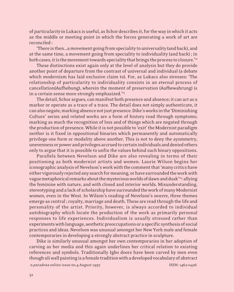of particularity in Lukacs is useful, as Schor describes it, for the way in which it acts as the middle or meeting point in which the forces generating a work of art are reconciled :

'There is then...a movement going from speciality to universality (and back), and at the same time, a movement going from speciality to individuality (and back) ; in both cases, it is the movement towards speciality that brings the process to closure.<sup>112</sup>

These distinctions exist again only at the level of analysis but they do provide another point of departure from the contrast of universal and individual (a debate which modernism has laid exclusive claim to). For, as Lukacs also stresses: 'The relationship of particularity to individuality consists in an eternal process of cancellation(Aufhebung), wherein the moment of preservation (Aufbewahrung) is in a certain sense more strongly emphasized.<sup>'13</sup>

The detail, Schor argues, can manifest both presence and absence; it can act as a marker or operate as a trace of a trace. The detail does not simply authenticate, it can also negate, marking absence not just presence. Dike's works in the 'Diminishing Culture' series and related works are a form of history read through symptoms; marking as much the recognition of loss and of things which are negated through the production of presence. While it is not possible to 'exit' the Modernist paradigm neither is it fixed in oppositional binaries which permanently and automatically privilege one form or modality above another. This is not to deny the aysmmetry, unevenness or power and privileges accrued to certain individuals and denied others only to argue that it is possible to unfix the values behind such binary oppositions.

Parallels between Nevelson and Dike are also revealing in terms of their positioning as both modernist artists and women. Laurie Wilson begins her iconographic analysis of Nevelson's work with the comment that 'many critics have either vigorously rejected any search for meaning, or have surrounded the work with vague metaphorical remarks about the mysterious worlds of dawn and dusk'14: allying the feminine with nature, and with closed and interior worlds. Misunderstanding, stereotyping and a lack of scholarship have surrounded the work of many Modernist women, even in the West. In Wilson's reading of Nevelson's oeuvre, three themes emerge as central ; royalty, marriage and death. These are read through the life and personality of the artist. Priority, however, is always accorded to individual autobiography which locate the production of the work as primarily personal responses to life experiences. Individualism is usually stressed rather than experiments with language, aesthetic preoccupations or a specific synthesis of social practices and ideas. Nevelson was unusual amongst her New York male and female contemporaries in developing a strongly abstract practice in sculpture.

Dike is similarly unusual amongst her own contemporaries in her adoption of carving as her media and this again underlines her critical relation to existing references and symbols. Traditionally Igbo doors have been carved by men even though uli wall painting is a female tradition with a developed vocabulary of abstract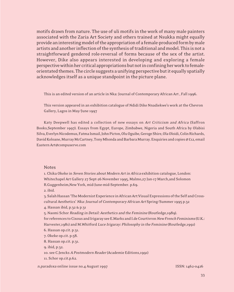motifs drawn from nature. The use of uli motifs in the work of many male painters associated with the Zaria Art Society and others trained at Nsukka might equally provide an interesting model of the appropriation of a female-produced form by male artists and another inflection of the synthesis of traditional and model. This is not a straightforward gendered role-reversal of forms because of the sex of the artist. However, Dike also appears interested in developing and exploring a female perspective within her critical appropriations but not in confining her work to femaleorientated themes. The circle suggests a unifying perspective but it equally spatially acknowledges itself as a unique standpoint in the picture plane.

This is an edited version of an article in Nka: Journal of Contemporary African Art , Fall 1996.

This version appeared in an exhibition catalogue of Ndidi Dike Nnadiekwe's work at the Chevron Gallery, Lagos in May/June 1997

Katy Deepwell has edited a collection of new essays on Art Criticism and Africa (Saffron Books,September 1997). Essays from Egypt, Europe, Zimbabwe, Nigeria and South Africa by Olabisi Silva, Everlyn Nicodemus, Fatma Ismail, John Picton, Olu Oguibe, Geroge Shire, Ola Oloidi, Colin Richards, David Koloane, Murray McCartney, Tony Mhonda and Barbara Murray. Enquiries and copies @ £12, email Eastern Art@compuserve.com

#### Notes

1. Chika Okeke in Seven Stories about Modern Art in Africa exhibition catalogue, London: Whitechapel Art Gallery 27 Sept-26 November 1995, Malmo,27 Jan-17 March,and Solomon R.Guggenheim,New York, mid-June-mid-September. p.69.

2. ibid.

3. Salah Hassan 'The Modernist Experience in African Art:Visual Expressions of the Self and Crosscultural Aesthetics' Nka: Journal of Contemporary African Art Spring/Summer 1995 p.32

4. Hassan ibid, p.32 & p.31

5. Naomi Schor Reading in Detail: Aesthetics and the Feminine (Routledge,1989).

for references to Cixous and Irigaray see E.Marks and I.de Courtivron New French Feminisms (U.K.: Harvester,1981) and M.Whitford Luce Irigaray: Philosophy in the Feminine (Routledge,1991)

6. Hassan op.cit. p.31.

7. Okeke op.cit. p.58.

8. Hassan op.cit. p.31.

9. ibid, p.32.

10. see C.Jencks A Postmodern Reader (Academie Editions,1991)

11. Schor op.cit.p.62.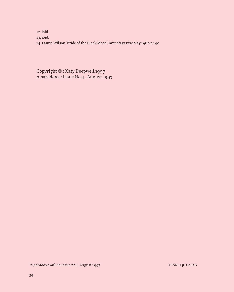12. ibid.

13. ibid.

14. Laurie Wilson 'Bride of the Black Moon' Arts Magazine May 1980 p.140

Copyright © : Katy Deepwell,1997 n.paradoxa : Issue No.4 , August 1997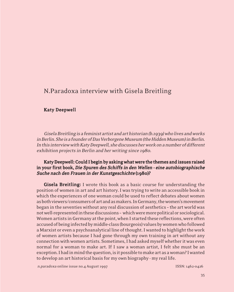### N.Paradoxa interview with Gisela Breitling

#### Katy Deepwell

Gisela Breitling is a feminist artist and art historian (b.1939) who lives and works in Berlin. She is a founder of Das Verborgene Museum (the Hidden Museum) in Berlin. In this interview with Katy Deepwell, she discusses her work on a number of different exhibition projects in Berlin and her writing since 1980.

#### Katy Deepwell: Could I begin by asking what were the themes and issues raised in your first book, first book, Die Spuren des Schiffs in den Wellen - eine autobiographische Suche nach den Frauen in der Kunstgeschichte (1980)?

Gisela Breitling: I wrote this book as a basic course for understanding the position of women in art and art history. I was trying to write an accessible book in which the experiences of one woman could be used to reflect debates about women as both viewers/consumers of art and as makers. In Germany, the women's movement began in the seventies without any real discussion of aesthetics – the art world was not well-represented in these discussions – which were more political or sociological. Women artists in Germany at the point, when I started these reflections, were often accused of being infected by middle-class (bourgeois) values by women who followed a Marxist or even a psychoanalytical line of thought. I wanted to highlight the work of women artists because I had gone through my own training in art without any connection with women artists. Sometimes, I had asked myself whether it was even normal for a woman to make art. If I saw a woman artist, I felt she must be an exception. I had in mind the question, is it possible to make art as a woman? I wanted to develop an art historical basis for my own biography - my real life.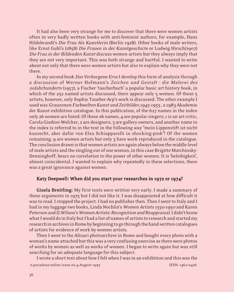It had also been very strange for me to discover that there were women artists often in very badly written books with anti-feminist authors, for example, Hans Hildebrandt's Die Frau Als Kunstlerin (Berlin 1928). Other books of male writers, like Ernst Guhl's (1858) Die Frauen in der Kunstgeschicte or Ludwig Hirsch(1907) Die Frau in der Bildenden Kunst discuss women artists but they always imply that they are not very important. This was both strange and hurtful. I wanted to write about not only that there were women artists but also to explain why they were not there.

In my second book Das Verborgene Eros I develop this form of analysis through a discussion of Werner Hofmann's Zeichen und Gestalt - die Malerei des 20Jahrhunderts (1957), a Fischer 'tascherbuch' a popular basic art history book, in which of the 252 named artists discussed, there appear only  $\frac{1}{5}$  women. Of these  $\frac{1}{5}$ artists, however, only Sophie Taueber-Arp's work is discussed. The other example I used was Grauzonen-Farbwelten Kunst und Zeitbilder,1945-1955 , a 1983 Akademie der Kunst exhibition catalogue. In this publication, of the 627 names in the index only 26 women are listed. Of these 26 names, 4 are popular singers, 1 is an art critic, Carola Giedion-Welcker, 2 are designers, 3 are gallery-owners, and another name in the index is referred to in the text in the following way "mein Lippenstift ist nicht kussecht, aber dafür von Elsa Schiapparelli in shocking-pink"! Of the women remaining, 9 are women artists but only 3 have work reproduced in the catalogue. The conclusion drawn is that women artists are again always below the middle-level of male artists and the singling out of one woman, in this case Brigitte Matchinsky-Denninghoff, bears no correlation to the power of other women. It is 'beleibigkeit', almost coincidental. I wanted to explain why repeatedly in these selections, there was a great ignorance against women.

#### Katy Deepwell: When did you start your researches in 1972 or 1974?

Gisela Breitling: My first texts were written very early. I made a summary of these arguments in 1975 but I did not like it. I was disappointed at how difficult it was to read. I stopped the project. I had no publisher then. Then I went to Italy and I had in my luggage two books, Linda Nochlin's Women Artists 1550-1950 and Karen Petersen and JJ.Wilson's Women Artists: Recognition and Reappraisal. I didn't know what I would do in Italy but I had a list of names of artists to research and started my research in archives in Rome by beginning to go through the hand-written catalogues of artists for evidence of work by women artists.

Then I went to the Alinari photoarchive in Rome and bought every photo with a woman's name attached but this was a very confusing exercise as there were photos of works by women as well as works of women. I began to write again but was still searching for an adequate language for this subject.

n.paradoxa online issue no.4 August 1997 **ISSN:** 1462-0426 I wrote a short text about how I felt when I was in an exhibition and this was the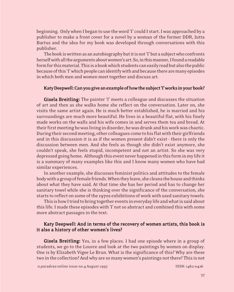beginning. Only when I began to use the word 'I' could I start. I was approached by a publisher to make a front cover for a novel by a woman of the former DDR, Jutta Bartus and the idea for my book was developed through conversations with this publisher.

The book is written as an autobiography but it is not 'I' but a subject who confronts herself with all the arguments about women's art. So, in this manner, I found a readable form for this material. This is a book which students can easily read but also the public because of this 'I' which people can identify with and because there are many episodes in which both men and women meet together and discuss art.

#### Katy Deepwell: Can you give an example of how the subject 'I' works in your book?

Gisela Breitling: The painter 'I' meets a colleague and discusses the situation of art and then as she walks home she reflect on the conversation. Later on, she visits the same artist again. He is much better established, he is married and his surroundings are much more beautiful. He lives in a beautiful flat, with his finely made works on the walls and his wife comes in and serves them tea and bread. At their first meeting he was living in disorder, he was drunk and his work was chaotic. During their second meeting, other colleagues come to his flat with their girlfriends and in this discussion it is as if the women present didn't exist - there is only the discussion between men. And she feels as though she didn't exist anymore, she couldn't speak, she feels stupid, incompetent and not an artist. So she was very depressed going home. Although this event never happened in this form in my life it is a summary of many examples like this and I know many women who have had similar experiences.

In another example, she discusses feminist politics and attitudes to the female body with a group of female friends. When they leave, she cleans the house and thinks about what they have said. At that time she has her period and has to change her sanitary towel while she is thinking over the significance of the conversation, she starts to reflect on some of the 1970s exhibitions of work with used sanitary towels.

This is how I tried to bring together events in everyday life and what is said about this life. I made these episodes with 'I' not so abstract and combined this with some more abstract passages in the text.

#### Katy Deepwell: And in terms of the recovery of women artists, this book is it also a history of other women's lives?

Gisela Breitling: Yes, in a few places. I had one episode where in a group of students, we go to the Louvre and look at the two paintings by women on display. One is by Elizabeth Vigee Le Brun. What is the significance of this? Why are these two in the collection? And why are so many women's paintings not there? This is not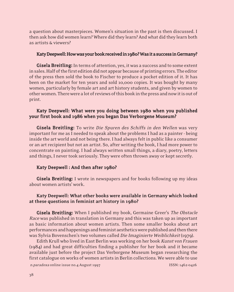a question about masterpieces. Women's situation in the past is then discussed. I then ask how did women learn? Where did they learn? And what did they learn both as artists & viewers?

#### Katy Deepwell: How was your book received in 1980? Was it a success in Germany?

Gisela Breitling: In terms of attention, yes, it was a success and to some extent in sales. Half of the first edition did not appear because of printing errors. The editor of the press then sold the book to Fischer to produce a pocket edition of it. It has been on the market for ten years and sold 10,000 copies. It was bought by many women, particularly by female art and art history students, and given by women to other women. There were a lot of reviews of this book in the press and now it is out of print.

#### Katy Deepwell: What were you doing between 1980 when you published your first book and 1986 when you began Das Verborgene Museum?

Gisela Breitling: To write Die Spuren des Schiffs in den Wellen was very important for me as I needed to speak about the problems I had as a painter - being inside the art world and not being there. I had always felt in public like a consumer or an art recipient but not an artist. So, after writing the book, I had more power to concentrate on painting. I had always written small things, a diary, poetry, letters and things, I never took seriously. They were often thrown away or kept secretly.

#### Katy Deepwell : And then after 1980?

Gisela Breitling: I wrote in newspapers and for books following up my ideas about women artists' work.

#### Katy Deepwell: What other books were available in Germany which looked at these questions in feminist art history in 1980?

Gisela Breitling: When I published my book, Germaine Greer's The Obstacle Race was published in translation in Germany and this was taken up as important as basic information about women artists. Then some smaller books about art performances and happenings and feminist aesthetics were published and then there was Sylvia Bovenschen's two volumes called Die Imaginierte Weiblichkeit (1979).

Edith Krull who lived in East Berlin was working on her book Kunst von Frauen (1984) and had great difficulties finding a publisher for her book and it became available just before the project Das Verborgene Museum began researching the first catalogue on works of women artists in Berlin collections. We were able to use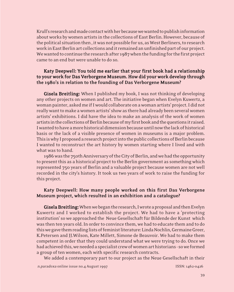Krull's research and made contact with her because we wanted to publish information about works by women artists in the collections of East Berlin. However, because of the political situation then , it was not possible for us, as West Berliners, to research work in East Berlin art collections and it remained an unfinished part of our project. We wanted to continue the research after 1987 when the funding for the first project came to an end but were unable to do so.

#### Katy Deepwell: You told me earlier that your first book had a relationship to your work for Das Verborgene Museum. How did your work develop through the 1980's in relation to the founding of Das Verborgene Museum?

**Gisela Breitling:** When I published my book, I was not thinking of developing any other projects on women and art. The initiative began when Evelyn Kuwertz, a woman painter, asked me if I would collaborate on a woman artists' project. I did not really want to make a women artists' show as there had already been several women artists' exhibitions. I did have the idea to make an analysis of the work of women artists in the collections of Berlin because of my first book and the questions it raised. I wanted to have a more historical dimension because until now the lack of historical basis or the lack of a visible presence of women in museums is a major problem. This is why I proposed a research project into the public collections of Berlin because I wanted to reconstruct the art history by women starting where I lived and with what was to hand.

1986 was the 750th Anniversary of the City of Berlin, and we had the opportunity to present this as a historical project to the Berlin government as something which represented 750 years of Berlin and a valuable project because women are not well recorded in the city's history. It took us two years of work to raise the funding for this project.

#### Katy Deepwell: How many people worked on this first Das Verborgene Museum project, which resulted in an exhibition and a catalogue?

Gisela Breitling: When we began the research, I wrote a proposal and then Evelyn Kuwertz and I worked to establish the project. We had to have a 'protecting institution' so we approached the Neue Gesellschaft für Bildende der Kunst which was then ten years old. In order to convince them, we had to educate them and to do this we gave them reading lists of feminist literature: Linda Nochlin, Germaine Greer, K.Petersen and JJ.Wilson, Kate Millett, Simone de Beauvoir. We had to make them competent in order that they could understand what we were trying to do. Once we had achieved this, we needed a specialist crew of women art historians - so we formed a group of ten women, each with specific research contracts.

We added a contemporary part to our project as the Neue Gesellschaft in their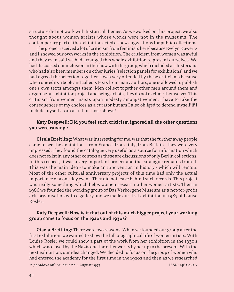structure did not work with historical themes. As we worked on this project, we also thought about women artists whose works were not in the museums. The contemporary part of the exhibition acted as new suggestions for public collections.

The project received a lot of criticism from feminists here because Evelyn Kuwertz and I showed our own works in the exhibition. The criticism from women was awful and they even said we had arranged this whole exhibition to present ourselves. We had discussed our inclusion in the show with the group, which included art historians who had also been members on other juries (selection panels for exhibitions) and we had agreed the selection together. I was very offended by these criticisms because when one edits a book and collects texts from many authors, one is allowed to publish one's own texts amongst them. Men collect together other men around them and organise an exhibition project and being artists, they do not exclude themselves.This criticism from women insists upon modesty amongst women. I have to take the consequences of my choices as a curator but am I also obliged to defend myself if I include myself as an artist in those shows?

#### Katy Deepwell: Did you feel such criticism ignored all the other questions you were raising ?

Gisela Breitling: What was interesting for me, was that the further away people came to see the exhibition - from France, from Italy, from Britain - they were very impressed. They found the catalogue very useful as a source for information which does not exist in any other context as these are discussions of only Berlin collections. In this respect, it was a very important project and the catalogue remains from it. This was the main idea - to make an intervention in history - which will remain. Most of the other cultural anniversary projects of this time had only the actual importance of a one day event. They did not leave behind such records. This project was really something which helps women research other women artists. Then in 1986 we founded the working group of Das Verborgene Museum as a not-for-profit arts organisation with a gallery and we made our first exhibition in 1987 of Louise Rösler.

#### Katy Deepwell: How is it that out of this much bigger project your working group came to focus on the 1920s and 1930s?

Gisela Breitling: There were two reasons. When we founded our group after the first exhibition, we wanted to show the full biographical life of women artists. With Louise Rösler we could show a part of the work from her exhibition in the 1930's which was closed by the Nazis and the other works by her up to the present. With the next exhibition, our idea changed. We decided to focus on the group of women who had entered the academy for the first time in the 1920s and then as we researched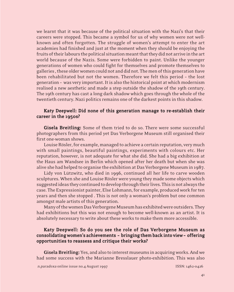we learnt that it was because of the political situation with the Nazi's that their careers were stopped. This became a symbol for us of why women were not wellknown and often forgotten. The struggle of women's attempt to enter the art academies had finished and just at the moment when they should be enjoying the fruits of their labours the political situation meant that they did not arrive in the art world because of the Nazis. Some were forbidden to paint. Unlike the younger generations of women who could fight for themselves and promote themselves to galleries , these older women could not and did not. The men of this generation have been rehabilitated but not the women. Therefore we felt this period – the lost generation – was very important. It is also the historical point at which modernism realised a new aesthetic and made a step outside the shadow of the 19th century. The 19th century has cast a long dark shadow which goes through the whole of the twentieth century. Nazi politics remains one of the darkest points in this shadow.

#### Katy Deepwell: Did none of this generation manage to re-establish their career in the 1950s?

Gisela Breitling: Some of them tried to do so. There were some successful photographers from this period yet Das Verborgene Museum still organised their first one-woman shows.

Louise Rösler, for example, managed to achieve a certain reputation, very much with small paintings, beautiful paintings, experiments with colours etc. Her reputation, however, is not adequate for what she did. She had a big exhibition at the Haus am Wandsee in Berlin which opened after her death but when she was alive she had helped to organise the exhibition at Das Verborgene Museum in 1987.

Lidy von Lützwitz, who died in 1996, continued all her life to carve wooden sculptures. When she and Louise Rösler were young they made some objects which suggested ideas they continued to develop through their lives. This is not always the case. The Expressionist painter, Else Lohmann, for example, produced work for ten years and then she stopped . This is not only a woman's problem but one common amongst male artists of this generation.

Many of the women Das Verborgene Museum has exhibited were outsiders. They had exhibitions but this was not enough to become well-known as an artist. It is absolutely necessary to write about these works to make them more accessible.

#### Katy Deepwell: So do you see the role of Das Verborgene Museum as consolidating women's achievements – bringing them back into view – offering opportunities to reassess and critique their works?

Gisela Breitling: Yes, and also to interest museums in acquiring works. And we had some success with the Marianne Bresslauer photo-exhibition. This was also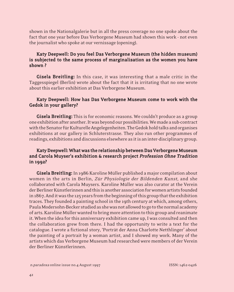shown in the Nationalgalerie but in all the press coverage no one spoke about the fact that one year before Das Verborgene Museum had shown this work - not even the journalist who spoke at our vernissage (opening).

#### Katy Deepwell: Do you feel Das Verborgene Museum (the hidden museum) is subjected to the same process of marginalisation as the women you have shown ?

Gisela Breitling: In this case, it was interesting that a male critic in the Taggesspiegel (Berlin) wrote about the fact that it is irritating that no one wrote about this earlier exhibition at Das Verborgene Museum.

#### Katy Deepwell: How has Das Verborgene Museum come to work with the Gedok in your gallery?

Gisela Breitling: This is for economic reasons. We couldn't produce as a group one exhibition after another. It was beyond our possibilities. We made a sub-contract with the Senator für Kulturelle Angelegenheiten. The Gedok hold talks and organises exhibitions at our gallery in Schluterstrasse. They also run other programmes of readings, exhibitions and discussions elsewhere as it is an inter-disciplinary group.

#### Katy Deepwell: What was the relationship between Das Verborgene Museum and Carola Muyser's exhibition & research project Profession Ohne Tradition in 1992?

Gisela Breitling: In 1986 Karoline Müller published a major compilation about women in the arts in Berlin, Zür Physiologie der Bildenden Kunst, and she collaborated with Carola Muysers. Karoline Müller was also curator at the Verein der Berliner Künstlerinnen and this is another association for women artists founded in 1867. And it was the 125 years from the beginning of this group that the exhibition traces. They founded a painting school in the 19th century at which, among others, Paula Modersohn-Becker studied as she was not allowed to go to the normal academy of arts. Karoline Müller wanted to bring more attention to this group and reanimate it. When the idea for this anniversary exhibition came up, I was consulted and then the collaboration grew from there. I had the opportunity to write a text for the catalogue. I wrote a fictional story, 'Porträt der Anna Charlotte Netthlinger' about the painting of a portrait by a woman artist, and I showed my work. Many of the artists which das Verborgene Museum had researched were members of der Verein der Berliner Künstlerinnen.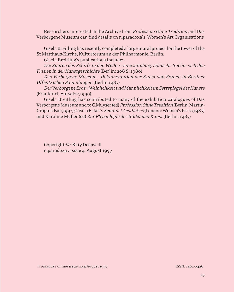Researchers interested in the Archive from Profession Ohne Tradition and Das Verborgene Museum can find details on n.paradoxa's Women's Art Organisations

Gisela Breitling has recently completed a large mural project for the tower of the St Matthaus-Kirche, Kulturforum an der Philharmonie, Berlin.

Gisela Breitling's publications include:-

Die Spuren des Schiffs in den Wellen - eine autobiographische Suche nach den Frauen in der Kunstgeschichte (Berlin: 208 S.,1980)

Das Verborgene Museum - Dokumentation der Kunst von Frauen in Berliner Offentkichen Sammlungen (Berlin,1987)

Der Verborgene Eros = Weiblichkeit und Mannlichkeit im Zerrspiegel der Kunste (Frankfurt: Aufsatze,1990)

Gisela Breitling has contributed to many of the exhibition catalogues of Das Verborgene Museum and to C.Muyser (ed) Profession Ohne Tradition (Berlin: Martin-Gropius-Bau,1992); Gisela Ecker's Feminist Aesthetics (London: Women's Press,1987) and Karoline Muller (ed) Zur Physiologie der Bildenden Kunst (Berlin, 1987)

Copyright © : Katy Deepwell n.paradoxa : Issue 4, August 1997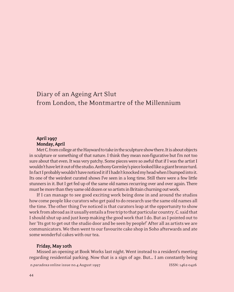### Diary of an Ageing Art Slut from London, the Montmartre of the Millennium

#### April 1997 Monday, April

Met C. from college at the Hayward to take in the sculpture show there. It is about objects in sculpture or something of that nature. I think they mean non-figurative but I'm not too sure about that even. It was very patchy. Some pieces were so awful that if I was the artist I wouldn't have let it out of the studio. Anthony Gormley's piece looked like a giant bronze turd. In fact I probably wouldn't have noticed it if I hadn't knocked my head when I bumped into it. Its one of the weirdest curated shows I've seen in a long time. Still there were a few little stunners in it. But I get fed up of the same old names recurring over and over again. There must be more than they same old dozen or so artists in Britain churning out work.

If I can manage to see good exciting work being done in and around the studios how come people like curators who get paid to do research use the same old names all the time. The other thing I've noticed is that curators leap at the opportunity to show work from abroad as it usually entails a free trip to that particular country. C. said that I should shut up and just keep making the good work that I do. But as I pointed out to her 'Its got to get out the studio door and be seen by people!' After all as artists we are communicators. We then went to our favourite cake shop in Soho afterwards and ate some wonderful cakes with our tea.

#### Friday, May 10th

Missed an opening at Book Works last night. Went instead to a resident's meeting regarding residential parking. Now that is a sign of age. But... I am constantly being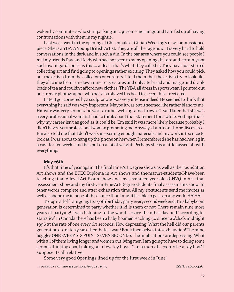woken by commuters who start parking at 5:30 some mornings and I am fed up of having confrontations with them in my nightie.

Last week went to the opening at Chisenhale of Gillian Wearing's new commissioned piece. She is a YBA. A Young British Artist. They are all the rage now. It is very hard to hold conversations in the dark and in such a din. In the bar area where you could see people I met my friends Dav. and Andy who had not been to many openings before and certainly not such avant-garde ones as this.... at least that's what they called it. They have just started collecting art and find going to openings rather exciting. They asked how you could pick out the artists from the collectors or curators. I told them that the artists try to look like they all came from run-down inner city estates and only ate bread and marge and drank loads of tea and couldn't afford new clothes. The YBA all dress in sportswear. I pointed out one trendy photographer who has also shaved his head to accent his street cred.

Later I got cornered by a sculptor who was very intense indeed. He seemed to think that everything he said was very important. Maybe it was but it seemed like rather bland to me. His wife was very serious and wore a rather well ingrained frown. G. said later that she was a very professional woman. I had to think about that statement for a while. Perhaps that's why my career isn't as good as it could be. Em said it was more likely because probably I didn't have a very professional woman promoting me. Anyways, I am too old to be discovered! Em also told me that I don't work in exciting enough materials and my work is too nice to look at. I was about to hang up the 'phone on her when I remembered she has had her leg in a cast for ten weeks and has put on a lot of weight. Perhaps she is a little pissed off with everything.

#### May 26th

It's that time of year again! The final Fine Art Degree shows as well as the Foundation Art shows and the BTEC Diploma in Art shows and the-mature-students-I-have-been teaching-final-A-level-Art-Exam show and my-seventeen-year-olds-GNVQ-in-Art final assessment show and my first-year-Fine-Art-Degree students final assessments show. In other words complete and utter exhaustion time. All my ex-students send me invites as well as phone me in hope of the chance that I might be able to pass on any work. HA!HA!

To top it all off I am going to a 50th birthday party every second weekend. This babyboom generation is determined to party whether it kills them or not. There remain nine more years of partying! I was listening to the world service the other day and 'according-tostatistics' in Canada there has been a baby boomer reaching 50 since 12 o'clock midnight 1996 at the rate of one every 6.7 seconds. How depressing! What the hell did our parents generation do for ten years after the last war ? Bonk themselves into exhaustion! The mind boggles ONE EVERY SIX POINT SEVEN SECONDS. The implications are depressing. What with all of them living longer and women outliving men I am going to have to doing some serious thinking about taking on a few toy boys. Can a man of seventy be a toy boy? I suppose its all relative!

Some very good Openings lined up for the first week in June!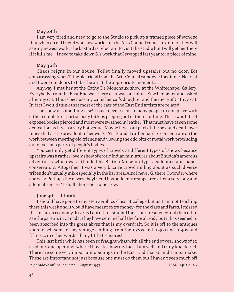#### May 28th

I am very tired and need to go to the Studio to pick up a framed piece of work so that when an old friend who now works for the Arts Council comes to dinner, they will see my newest work. The bastard is reluctant to visit the studio but I will get her there if it kills me....I need to take down S.'s work that I swapped last year for a piece of mine.

#### May 30th

Chaos reigns in our house. Toilet finally moved upstairs but no door. Bit embarrassing when T. the old friend from the Arts Council came over for dinner. Nearest and I went out doors to take the air at the appropriate moment.....

Anyway I met her at the Cathy De Monchaux show at the Whitechapel Gallery. Everybody from the East End was there as it was one of us. Saw her sister and asked after my cat. This is because my cat is her cat's daughter and the niece of Cathy's cat. In fact I would think that most of the cats of the East End artists are related.

The show is something else! I have never seen so many people in one place with either complete or partial body tattoos peeping out of their clothing. There was bits of exposed bodies pierced and most were swathed in leather. That must have taken some dedication as it was a very hot venue. Maybe it was all part of the sex and death over tones that are so prevalent in her work ???? I found it rather hard to concentrate on the work between meeting old friends and viewing the odd bits of metal work protruding out of various parts of people's bodies.

You certainly get different types of crowds at different types of shows because upstairs was a rather lovely show of erotic Indian miniatures about Bhudda's amorous adventures which was attended by British Museum type academics and paper conservators. Altogether it was a very bizarre crowd milling about as such diverse tribes don't usually mix especially in the bar area. Also I never G. there. I wonder where she was? Perhaps the newest boyfriend has suddenly reappeared after a very long and silent absence ?? I shall phone her tomorrow.

#### June 9th ....I think

I should have gone to my step aerobics class at college but as I am not teaching there this week and it would have meant extra money - for the class and fares, I missed it. I am on an economy drive as I am off to Istanbul for a short residency and then off to see the parents in Canada. They have sent me half the fare already but it has seemed to been absorbed into the great abyss that is my overdraft. So it is off to the antiques shop to sell some of my vintage clothing from the 1920s and 1930s and 1940s and fifties ... in other words all my little treasures!!!!

This last little while has been so fraught what with all the end of year shows of ex students and openings where I have to show my face. I am well and truly knackered. There are some very important openings in the East End that G. and I must make. These are important not just because one must do them but I haven't seen much off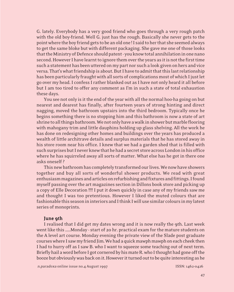G. lately. Everybody has a very good friend who goes through a very rough patch with the old boy-friend. Well G. just has the rough. Basically she never gets to the point where the boy friend gets to be an old one ! I said to her that she seemed always to get the same bloke but with different packaging. She gave me one of those looks that the Ministry of Defence should patent - you know total annihilation in one nano second. However I have learnt to ignore them over the years as it is not the first time such a statement has been uttered on my part nor such a look given on hers and vice versa. That's what friendship is about. But I have to admit that this last relationship has been particularly fraught with all sorts of complications most of which I just let go over my head. I confess I rather blanked out as I have not only heard it all before but I am too tired to offer any comment as I'm in such a state of total exhaustion these days.

You see not only is it the end of the year with all the normal hoo-ha going on but nearest and dearest has finally, after fourteen years of strong hinting and direct nagging, moved the bathroom upstairs into the third bedroom. Typically once he begins something there is no stopping him and this bathroom is now a state of art shrine to all things bathroom. We not only have a walk in shower but marble flooring with mahogany trim and little dauphins holding up glass shelving. All the work he has done on redesigning other homes and buildings over the years has produced a wealth of little architrave details and surplus materials that he has stored away in his store room near his office. I knew that we had a garden shed that is filled with such surprises but I never knew that he had a secret store across London in his office where he has squirreled away all sorts of matter. What else has he got in there one asks oneself ?

This new bathroom has completely transformed our lives. We now have showers together and buy all sorts of wonderful shower products. We read with great enthusiasm magazines and articles on refurbishing and fixtures and fittings. I found myself passing over the art magazines section in Dillons book store and picking up a copy of Elle Decoration !!!! I put it down quickly in case any of my friends saw me and thought I was too pretentious. However I liked the muted colours that are fashionable this season in interiors and I think I will use similar colours in my latest series of monoprints.

#### June 9th

I realised that I did get my dates wrong and it is now really the 9th. Last week went like this .....Monday - start of 20 hr. practical exam for the mature students on the A level art course. Monday evening the private view of the Slade post graduate courses where I saw my friend Jim. We had a quick mawph mawph on each cheek then I had to hurry off as I saw B. who I want to squeeze some teaching out of next term. Briefly hail a word before I got cornered by his mate R. who I thought had gone off the booze but obviously was back on it. However it turned out to be quite interesting as he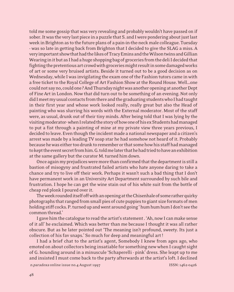told me some gossip that was very revealing and probably wouldn't have passed on if sober. It was the very last piece in a puzzle that S. and I were pondering about just last week in Brighton as to the future plans of a pain-in-the-neck male colleague. Tuesday - was so late in getting back from Brighton that I decided to give the SLAG a miss. A very important show that had the likes of Tracy Emins and the Wilson twins and Gillian Wearing in it but as I had a huge shopping bag of groceries from the deli I decided that fighting the pretentious art crowd with groceries might result in some damaged works of art or some very bruised artists. Beside it turned out to be a good decision as on Wednesday, while I was invigilating the exam one of the Fashion tutors came in with a free ticket to the Royal College of Art Fashion Show at the Round House. Well...one could not say no, could one ? And Thursday night was another opening at another Dept of Fine Art in London. Now that did turn out to be something of an evening. Not only did I meet my usual contacts from there and the graduating students who I had taught in their first year and whose work looked really, really great but also the Head of painting who was slurring his words with the External moderator. Most of the staff were, as usual, drunk out of their tiny minds. After being told that I was lying by the visiting moderator- when I related the story of how one of his ex Students had managed to put a fist through a painting of mine at my private view three years previous, I decided to leave. Even though the incident made a national newspaper and a citizen's arrest was made by a leading TV soap star he had somehow not heard of it. Probably because he was either too drunk to remember or that some how his staff had managed to kept the event secret from him. G. told me later that he had tried to have an exhibition at the same gallery but the curator M. turned him down.

Once again my prejudices were more than confirmed that the department is still a bastion of misogyny and frustrated failed artists who hate anyone daring to take a chance and try to live off their work. Perhaps it wasn't such a bad thing that I don't have permanent work in an University Art Department surrounded by such bile and frustration. I hope he can get the wine stain out of his white suit from the bottle of cheap red plonk I poured over it.

The week rounded itself off with an opening at the Chisenhale of some rather quirky photographs that ranged from small pies of cute puppies to giant size formats of men holding stiff cocks. P. turned up and went around going ' hum hum hum I don't see the common thread.'

I gave him the catalogue to read the artist's statement . 'Ah, now I can make sense of it all' he exclaimed. Which was better than me because I thought it was all rather obscure. But as he later pointed out 'The meaning isn't profound, sweety. Its just a collection of his fav snaps.' So much for deep and meaningful art !

I had a brief chat to the artist's agent, Somebody I knew from ages ago, who emoted on about collectors being insatiable for something new when I caught sight of G. hounding around in a minuscule 'Schaperelli - pink' dress. She leapt up to me and insisted I must come back to the party afterwards at the artist's loft. I declined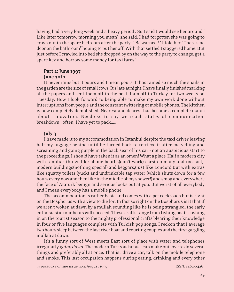having had a very long week and a heavy period . So I said I would see her around.' Like later tomorrow morning you mean' she said. I had forgotten she was going to crash out in the spare bedroom after the party ." Be warned ! ' I told her ' There's no door on the bathroom" hoping to put her off. With that settled I staggered home. But just before I crawled into bed she dropped by on the way to the party to change, get a spare key and borrow some money for taxi fares !!

#### Part 2: June 1997 June 30th

It never rains but it pours and I mean pours. It has rained so much the snails in the garden are the size of small cows. It's late at night. I have finally finished marking all the papers and sent them off in the post. I am off to Turkey for two weeks on Tuesday. How I look forward to being able to make my own work done without interruptions from people and the constant twittering of mobile phones. The kitchen is now completely demolished. Nearest and dearest has become a complete manic about renovation. Needless to say we reach states of communication breakdown...often. I have yet to pack.....

### July 3

I have made it to my accommodation in Istanbul despite the taxi driver leaving half my luggage behind until he turned back to retrieve it after me yelling and screaming and going purple in the back seat of his car - not an auspicious start to the proceedings. I should have taken it as an omen! What a place 'Half a modern city with familiar things like phone booths(don't work) cars(too many and too fast). modern buildings(nothing special) and beggars,(just like London) But with extras like squatty toilets (yuck) and undrinkable tap water (which shuts down for a few hours every now and then like in the middle of my shower!) and smog and everywhere the face of Ataturk benign and serious looks out at you. But worst of all everybody and I mean everybody has a mobile phone!

The accommodation is rather basic and comes with a pet cockroach but is right on the Bosphorus with a view to die for. In fact so right on the Bosphorus is it that if we aren't woken at dawn by a mullah sounding like he is being strangled, the early enthusiastic tour boats will succeed. These crafts range from fishing boats cashing in on the tourist season to the mighty professional crafts blearing their knowledge in four or five languages complete with Turkish pop songs. I reckon that I average two hours sleep between the last river boat and courting couples and the first gargling mullah at dawn.

It's a funny sort of West meets East sort of place with water and telephones irregularly going down. The modern Turks as far as I can make out love to do several things and preferably all at once. That is : drive a car, talk on the mobile telephone and smoke. This last occupation happens during eating, drinking and every other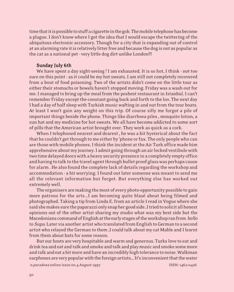time that it is possible to stuff a cigarette in the gob. The mobile telephone has become a plague. I don't know where I got the idea that I would escape the twittering of the ubiquitous electronic accessory. Though for a city that is expanding out of control at an alarming rate it is relatively litter free and because the dog is not as popular as the cat as a national pet - very little dog dirt unlike London!!!

#### Sunday July 6th

We have spent a day sight-seeing ! I am exhausted. It is so hot, I think - not too sure on this point - as it could be my hot sweats. I am still not completely recovered from a bout of food poisoning. Two of the artists didn't come on the little tour as either their stomachs or bowels haven't stopped moving. Friday was a wash out for me. I managed to bring up the meal from the poshest restaurant in Istanbul. I can't remember Friday except the constant going back and forth to the loo. The next day I had a day of half sleep with Turkish music wafting in and out from the tour boats. At least I won't gain any weight on this trip. Of course silly me forgot a pile of important things beside the phone. Things like diarrhoea piles , mosquito lotion, a sun hat and my medicine for hot sweats. We all have become addicted to some sort of pills that the American artist brought over. They work as quick as a cork.

When I telephoned nearest and dearest , he was a bit hysterical about the fact that he couldn't get through to me either by 'phone or fax. The only people who can are those with mobile phones. I think the incident at the Air Turk office made him apprehensive about my journey. I admit going through an air locked vestibule with two time delayed doors with a heavy security presence in a completely empty office and having to talk to the travel agent through bullet proof glass was perhaps cause for alarm . He also found the complete lack of details regarding the workshop and accommodation - a bit worrying. I found out later someone was meant to send me all the relevant information but forgot. But everything else has worked out extremely well.

The organisers are making the most of every photo-opportunity possible to gain more patrons for the arts...I am becoming quite blasé about being filmed and photographed. Taking a tip from Linda E. from an article I read in Vogue where she said she makes sure the paparazzi only snap her good side..I tried to solicit all honest opinions out of the other artist sharing my studio what was my best side but the Macedonians command of English at the early stages of the workshop ran from hello to Supa. Later via another artist who translated from English to German to a second artist who relayed the German to them ,I could talk about my cat Mable and I learnt from them about bats for some reason.

But our hosts are very hospitable and warm and generous. Turks love to eat and drink tea and eat and talk and smoke and talk and play music and smoke some more and talk and eat a bit more and have an incredibly high tolerance to noise. Walkman earphones are very popular with the foreign artists... It's inconvenient that the water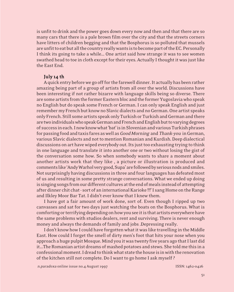is unfit to drink and the power goes down every now and then and that there are so many cars that there is a pale brown film over the city and that the streets corners have litters of children begging and that the Bosphorus is so polluted that mussels are unfit to eat but all the country really wants is to become part of the EC. Personally I think its going to take a while... One artist said how strange it was to see women swathed head to toe in cloth except for their eyes. Actually I thought it was just like the East End.

#### July 14 th

A quick entry before we go off for the farewell dinner. It actually has been rather amazing being part of a group of artists from all over the world. Discussions have been interesting if not rather bizarre with language skills being so diverse. There are some artists from the former Eastern bloc and the former Yugoslavia who speak no English but do speak some French or German. I can only speak English and just remember my French but know no Slavic dialects and no German. One artist speaks only French. Still some artists speak only Turkish or Turkish and German and there are two individuals who speak German and French and English but to varying degrees of success in each. I now know what 'bat' is in Slovenian and various Turkish phrases for passing food and taxis fares as well as *Good Morning* and Thank-you in German, various Slavic dialects and not to mention Romanian and Kurdish. Deep dialectical discussions on art have wiped everybody out. Its just too exhausting trying to think in one language and translate it into another one or two without losing the gist of the conversation some how. So when somebody wants to share a moment about another artists work that they like , a picture or illustration is produced and comments like 'Andy Warhol very good, Supa' are followed by serious nods and smiles. Not surprisingly having discussions in three and four languages has defeated most of us and resulting in some pretty strange conversations. What we ended up doing is singing songs from our different cultures at the end of meals instead of attempting after dinner chit chat - sort of an international Karioke !!!' I sang Home on the Range and Ilkley Moor Bar Tat. I didn't ever know that I knew them.

I have got a fair amount of work done, sort of. Even though I ripped up two canvasses and sat for two days just watching the boats on the Bosphorus. What is comforting or terrifying depending on how you see it is that artists everywhere have the same problems with studios dealers, rent and surviving. There is never enough money and always the demands of family and jobs .Depressing really.

I don't know how I could have forgotten what it was like travelling in the Middle East. How could I forget the smell of dirty men's foot that hits your nose when you approach a huge pulpit Mosque. Mind you it was twenty five years ago that I last did it...The Romanian artist dreams of mashed potatoes and stews. She told me this in a confessional moment. I dread to think what state the house is in with the renovation of the kitchen still not complete. Do I want to go home I ask myself ?